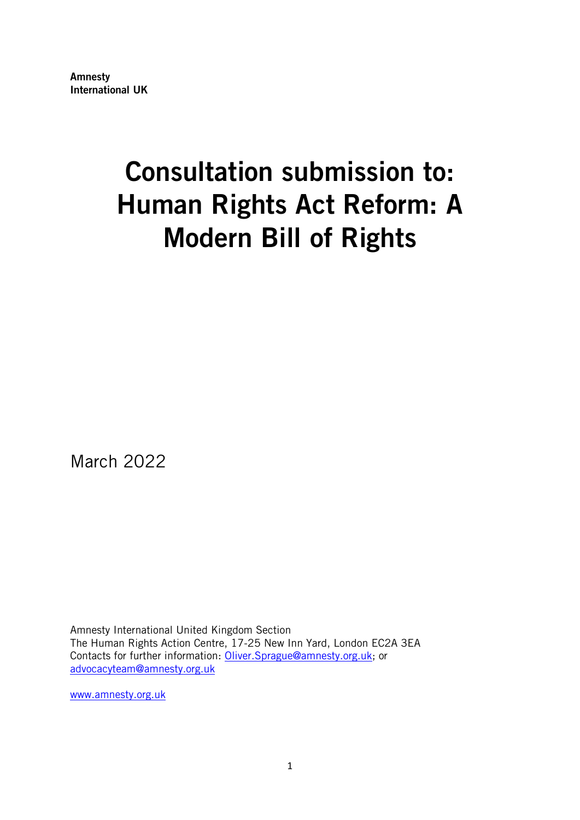Amnesty International UK

# Consultation submission to: Human Rights Act Reform: A Modern Bill of Rights

March 2022

Amnesty International United Kingdom Section The Human Rights Action Centre, 17-25 New Inn Yard, London EC2A 3EA Contacts for further information: [Oliver.Sprague@amnesty.org.uk;](mailto:Oliver.Sprague@amnesty.org.uk) or [advocacyteam@amnesty.org.uk](mailto:advocacyteam@amnesty.org.uk)

[www.amnesty.org.uk](http://www.amnesty.org.uk/)

1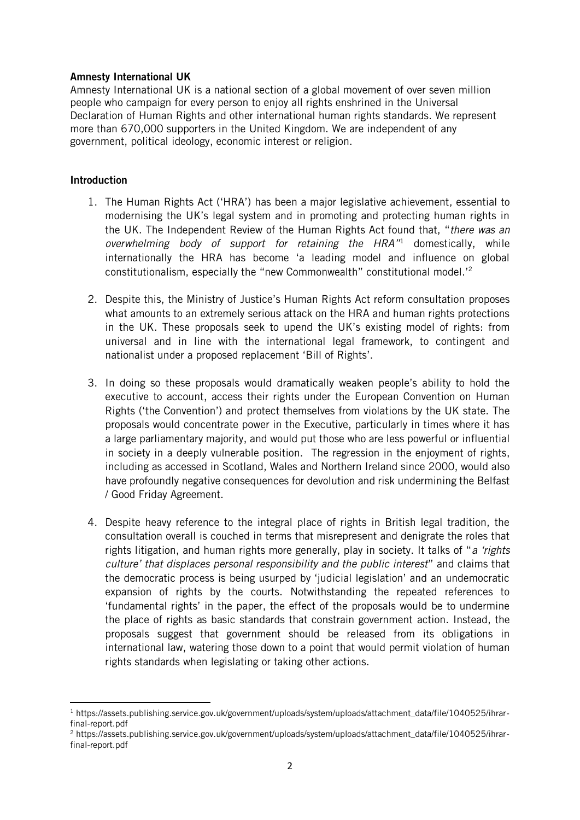#### Amnesty International UK

Amnesty International UK is a national section of a global movement of over seven million people who campaign for every person to enjoy all rights enshrined in the Universal Declaration of Human Rights and other international human rights standards. We represent more than 670,000 supporters in the United Kingdom. We are independent of any government, political ideology, economic interest or religion.

## **Introduction**

- 1. The Human Rights Act ('HRA') has been a major legislative achievement, essential to modernising the UK's legal system and in promoting and protecting human rights in the UK. The Independent Review of the Human Rights Act found that, "*there was an overwhelming body of support for retaining the HRA"* <sup>1</sup> domestically, while internationally the HRA has become 'a leading model and influence on global constitutionalism, especially the "new Commonwealth" constitutional model.'<sup>2</sup>
- 2. Despite this, the Ministry of Justice's Human Rights Act reform consultation proposes what amounts to an extremely serious attack on the HRA and human rights protections in the UK. These proposals seek to upend the UK's existing model of rights: from universal and in line with the international legal framework, to contingent and nationalist under a proposed replacement 'Bill of Rights'.
- 3. In doing so these proposals would dramatically weaken people's ability to hold the executive to account, access their rights under the European Convention on Human Rights ('the Convention') and protect themselves from violations by the UK state. The proposals would concentrate power in the Executive, particularly in times where it has a large parliamentary majority, and would put those who are less powerful or influential in society in a deeply vulnerable position. The regression in the enjoyment of rights, including as accessed in Scotland, Wales and Northern Ireland since 2000, would also have profoundly negative consequences for devolution and risk undermining the Belfast / Good Friday Agreement.
- 4. Despite heavy reference to the integral place of rights in British legal tradition, the consultation overall is couched in terms that misrepresent and denigrate the roles that rights litigation, and human rights more generally, play in society. It talks of "*a 'rights culture' that displaces personal responsibility and the public interest*" and claims that the democratic process is being usurped by 'judicial legislation' and an undemocratic expansion of rights by the courts. Notwithstanding the repeated references to 'fundamental rights' in the paper, the effect of the proposals would be to undermine the place of rights as basic standards that constrain government action. Instead, the proposals suggest that government should be released from its obligations in international law, watering those down to a point that would permit violation of human rights standards when legislating or taking other actions.

<sup>1</sup> https://assets.publishing.service.gov.uk/government/uploads/system/uploads/attachment\_data/file/1040525/ihrarfinal-report.pdf

<sup>2</sup> https://assets.publishing.service.gov.uk/government/uploads/system/uploads/attachment\_data/file/1040525/ihrarfinal-report.pdf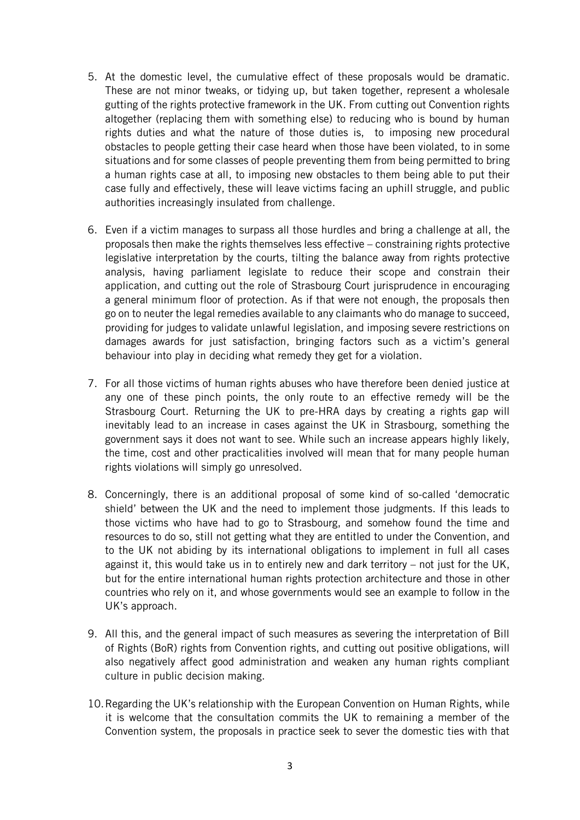- 5. At the domestic level, the cumulative effect of these proposals would be dramatic. These are not minor tweaks, or tidying up, but taken together, represent a wholesale gutting of the rights protective framework in the UK. From cutting out Convention rights altogether (replacing them with something else) to reducing who is bound by human rights duties and what the nature of those duties is, to imposing new procedural obstacles to people getting their case heard when those have been violated, to in some situations and for some classes of people preventing them from being permitted to bring a human rights case at all, to imposing new obstacles to them being able to put their case fully and effectively, these will leave victims facing an uphill struggle, and public authorities increasingly insulated from challenge.
- 6. Even if a victim manages to surpass all those hurdles and bring a challenge at all, the proposals then make the rights themselves less effective – constraining rights protective legislative interpretation by the courts, tilting the balance away from rights protective analysis, having parliament legislate to reduce their scope and constrain their application, and cutting out the role of Strasbourg Court jurisprudence in encouraging a general minimum floor of protection. As if that were not enough, the proposals then go on to neuter the legal remedies available to any claimants who do manage to succeed, providing for judges to validate unlawful legislation, and imposing severe restrictions on damages awards for just satisfaction, bringing factors such as a victim's general behaviour into play in deciding what remedy they get for a violation.
- 7. For all those victims of human rights abuses who have therefore been denied justice at any one of these pinch points, the only route to an effective remedy will be the Strasbourg Court. Returning the UK to pre-HRA days by creating a rights gap will inevitably lead to an increase in cases against the UK in Strasbourg, something the government says it does not want to see. While such an increase appears highly likely, the time, cost and other practicalities involved will mean that for many people human rights violations will simply go unresolved.
- 8. Concerningly, there is an additional proposal of some kind of so-called 'democratic shield' between the UK and the need to implement those judgments. If this leads to those victims who have had to go to Strasbourg, and somehow found the time and resources to do so, still not getting what they are entitled to under the Convention, and to the UK not abiding by its international obligations to implement in full all cases against it, this would take us in to entirely new and dark territory – not just for the UK, but for the entire international human rights protection architecture and those in other countries who rely on it, and whose governments would see an example to follow in the UK's approach.
- 9. All this, and the general impact of such measures as severing the interpretation of Bill of Rights (BoR) rights from Convention rights, and cutting out positive obligations, will also negatively affect good administration and weaken any human rights compliant culture in public decision making.
- 10.Regarding the UK's relationship with the European Convention on Human Rights, while it is welcome that the consultation commits the UK to remaining a member of the Convention system, the proposals in practice seek to sever the domestic ties with that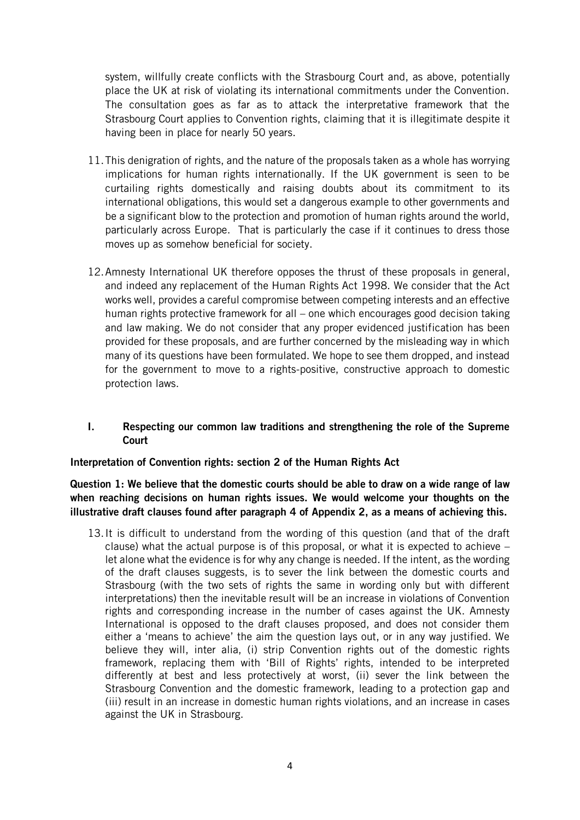system, willfully create conflicts with the Strasbourg Court and, as above, potentially place the UK at risk of violating its international commitments under the Convention. The consultation goes as far as to attack the interpretative framework that the Strasbourg Court applies to Convention rights, claiming that it is illegitimate despite it having been in place for nearly 50 years.

- 11.This denigration of rights, and the nature of the proposals taken as a whole has worrying implications for human rights internationally. If the UK government is seen to be curtailing rights domestically and raising doubts about its commitment to its international obligations, this would set a dangerous example to other governments and be a significant blow to the protection and promotion of human rights around the world, particularly across Europe. That is particularly the case if it continues to dress those moves up as somehow beneficial for society.
- 12.Amnesty International UK therefore opposes the thrust of these proposals in general, and indeed any replacement of the Human Rights Act 1998. We consider that the Act works well, provides a careful compromise between competing interests and an effective human rights protective framework for all – one which encourages good decision taking and law making. We do not consider that any proper evidenced justification has been provided for these proposals, and are further concerned by the misleading way in which many of its questions have been formulated. We hope to see them dropped, and instead for the government to move to a rights-positive, constructive approach to domestic protection laws.

## I. Respecting our common law traditions and strengthening the role of the Supreme Court

#### Interpretation of Convention rights: section 2 of the Human Rights Act

Question 1: We believe that the domestic courts should be able to draw on a wide range of law when reaching decisions on human rights issues. We would welcome your thoughts on the illustrative draft clauses found after paragraph 4 of Appendix 2, as a means of achieving this.

13.It is difficult to understand from the wording of this question (and that of the draft clause) what the actual purpose is of this proposal, or what it is expected to achieve  $$ let alone what the evidence is for why any change is needed. If the intent, as the wording of the draft clauses suggests, is to sever the link between the domestic courts and Strasbourg (with the two sets of rights the same in wording only but with different interpretations) then the inevitable result will be an increase in violations of Convention rights and corresponding increase in the number of cases against the UK. Amnesty International is opposed to the draft clauses proposed, and does not consider them either a 'means to achieve' the aim the question lays out, or in any way justified. We believe they will, inter alia, (i) strip Convention rights out of the domestic rights framework, replacing them with 'Bill of Rights' rights, intended to be interpreted differently at best and less protectively at worst, (ii) sever the link between the Strasbourg Convention and the domestic framework, leading to a protection gap and (iii) result in an increase in domestic human rights violations, and an increase in cases against the UK in Strasbourg.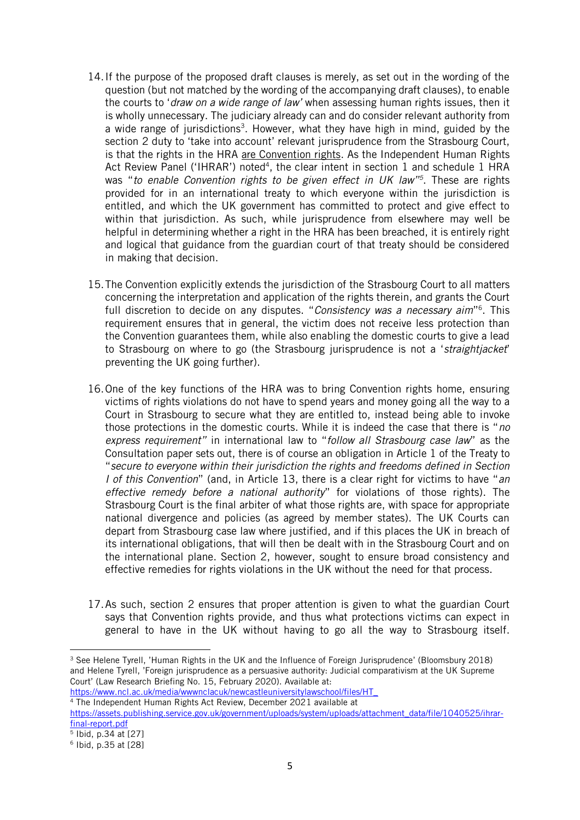- 14.If the purpose of the proposed draft clauses is merely, as set out in the wording of the question (but not matched by the wording of the accompanying draft clauses), to enable the courts to '*draw on a wide range of law'* when assessing human rights issues, then it is wholly unnecessary. The judiciary already can and do consider relevant authority from a wide range of jurisdictions<sup>3</sup>. However, what they have high in mind, guided by the section 2 duty to 'take into account' relevant jurisprudence from the Strasbourg Court, is that the rights in the HRA are Convention rights. As the Independent Human Rights Act Review Panel ('IHRAR') noted<sup>4</sup>, the clear intent in section 1 and schedule 1 HRA was "*to enable Convention rights to be given effect in UK law"<sup>5</sup>* . These are rights provided for in an international treaty to which everyone within the jurisdiction is entitled, and which the UK government has committed to protect and give effect to within that jurisdiction. As such, while jurisprudence from elsewhere may well be helpful in determining whether a right in the HRA has been breached, it is entirely right and logical that guidance from the guardian court of that treaty should be considered in making that decision.
- 15.The Convention explicitly extends the jurisdiction of the Strasbourg Court to all matters concerning the interpretation and application of the rights therein, and grants the Court full discretion to decide on any disputes. "*Consistency was a necessary aim*" 6 . This requirement ensures that in general, the victim does not receive less protection than the Convention guarantees them, while also enabling the domestic courts to give a lead to Strasbourg on where to go (the Strasbourg jurisprudence is not a '*straightjacket*' preventing the UK going further).
- 16.One of the key functions of the HRA was to bring Convention rights home, ensuring victims of rights violations do not have to spend years and money going all the way to a Court in Strasbourg to secure what they are entitled to, instead being able to invoke those protections in the domestic courts. While it is indeed the case that there is "*no express requirement"* in international law to "*follow all Strasbourg case law*" as the Consultation paper sets out, there is of course an obligation in Article 1 of the Treaty to "*secure to everyone within their jurisdiction the rights and freedoms defined in Section I of this Convention*" (and, in Article 13, there is a clear right for victims to have "*an effective remedy before a national authority*" for violations of those rights). The Strasbourg Court is the final arbiter of what those rights are, with space for appropriate national divergence and policies (as agreed by member states). The UK Courts can depart from Strasbourg case law where justified, and if this places the UK in breach of its international obligations, that will then be dealt with in the Strasbourg Court and on the international plane. Section 2, however, sought to ensure broad consistency and effective remedies for rights violations in the UK without the need for that process.
- 17.As such, section 2 ensures that proper attention is given to what the guardian Court says that Convention rights provide, and thus what protections victims can expect in general to have in the UK without having to go all the way to Strasbourg itself.

[https://www.ncl.ac.uk/media/wwwnclacuk/newcastleuniversitylawschool/files/HT\\_](https://www.ncl.ac.uk/media/wwwnclacuk/newcastleuniversitylawschool/files/HT_)

<sup>4</sup> The Independent Human Rights Act Review, December 2021 available at

<sup>&</sup>lt;sup>3</sup> See Helene Tyrell, 'Human Rights in the UK and the Influence of Foreign Jurisprudence' (Bloomsbury 2018) and Helene Tyrell, 'Foreign jurisprudence as a persuasive authority: Judicial comparativism at the UK Supreme Court' (Law Research Briefing No. 15, February 2020). Available at:

[https://assets.publishing.service.gov.uk/government/uploads/system/uploads/attachment\\_data/file/1040525/ihrar](https://assets.publishing.service.gov.uk/government/uploads/system/uploads/attachment_data/file/1040525/ihrar-final-report.pdf)[final-report.pdf](https://assets.publishing.service.gov.uk/government/uploads/system/uploads/attachment_data/file/1040525/ihrar-final-report.pdf)

<sup>5</sup> Ibid, p.34 at [27]

<sup>6</sup> Ibid, p.35 at [28]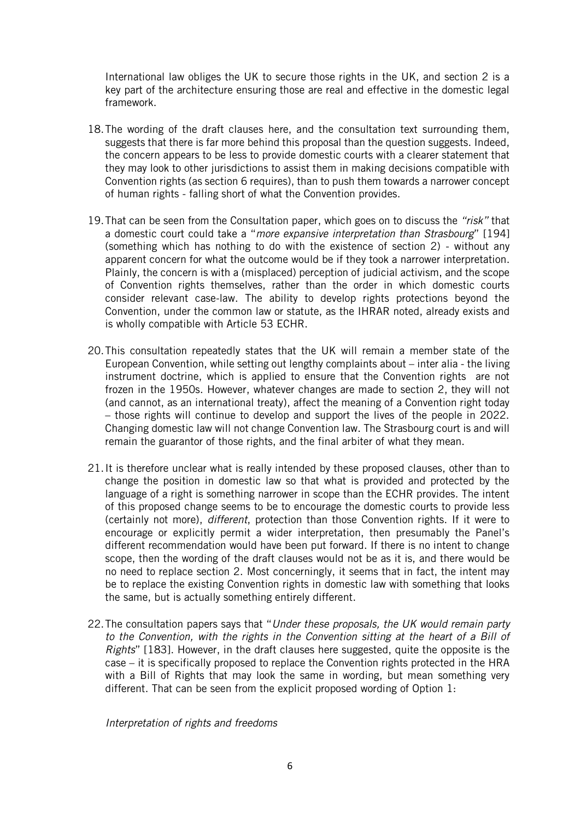International law obliges the UK to secure those rights in the UK, and section 2 is a key part of the architecture ensuring those are real and effective in the domestic legal framework.

- 18.The wording of the draft clauses here, and the consultation text surrounding them, suggests that there is far more behind this proposal than the question suggests. Indeed, the concern appears to be less to provide domestic courts with a clearer statement that they may look to other jurisdictions to assist them in making decisions compatible with Convention rights (as section 6 requires), than to push them towards a narrower concept of human rights - falling short of what the Convention provides.
- 19.That can be seen from the Consultation paper, which goes on to discuss the *"risk"* that a domestic court could take a "*more expansive interpretation than Strasbourg*" [194] (something which has nothing to do with the existence of section 2) - without any apparent concern for what the outcome would be if they took a narrower interpretation. Plainly, the concern is with a (misplaced) perception of judicial activism, and the scope of Convention rights themselves, rather than the order in which domestic courts consider relevant case-law. The ability to develop rights protections beyond the Convention, under the common law or statute, as the IHRAR noted, already exists and is wholly compatible with Article 53 ECHR.
- 20.This consultation repeatedly states that the UK will remain a member state of the European Convention, while setting out lengthy complaints about – inter alia - the living instrument doctrine, which is applied to ensure that the Convention rights are not frozen in the 1950s. However, whatever changes are made to section 2, they will not (and cannot, as an international treaty), affect the meaning of a Convention right today – those rights will continue to develop and support the lives of the people in 2022. Changing domestic law will not change Convention law. The Strasbourg court is and will remain the guarantor of those rights, and the final arbiter of what they mean.
- 21.It is therefore unclear what is really intended by these proposed clauses, other than to change the position in domestic law so that what is provided and protected by the language of a right is something narrower in scope than the ECHR provides. The intent of this proposed change seems to be to encourage the domestic courts to provide less (certainly not more), *different*, protection than those Convention rights. If it were to encourage or explicitly permit a wider interpretation, then presumably the Panel's different recommendation would have been put forward. If there is no intent to change scope, then the wording of the draft clauses would not be as it is, and there would be no need to replace section 2. Most concerningly, it seems that in fact, the intent may be to replace the existing Convention rights in domestic law with something that looks the same, but is actually something entirely different.
- 22.The consultation papers says that "*Under these proposals, the UK would remain party to the Convention, with the rights in the Convention sitting at the heart of a Bill of Rights*" [183]. However, in the draft clauses here suggested, quite the opposite is the case – it is specifically proposed to replace the Convention rights protected in the HRA with a Bill of Rights that may look the same in wording, but mean something very different. That can be seen from the explicit proposed wording of Option 1:

*Interpretation of rights and freedoms*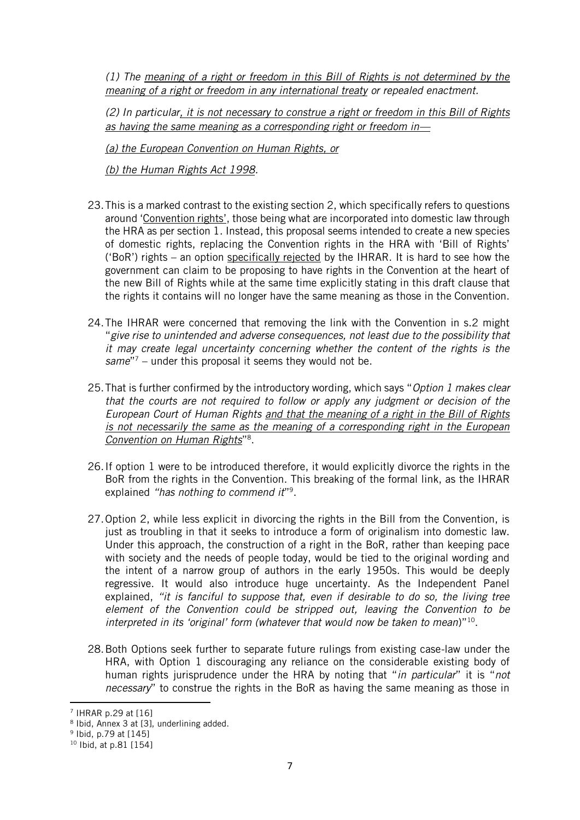*(1) The meaning of a right or freedom in this Bill of Rights is not determined by the meaning of a right or freedom in any international treaty or repealed enactment.*

*(2) In particular, it is not necessary to construe a right or freedom in this Bill of Rights as having the same meaning as a corresponding right or freedom in—*

*(a) the European Convention on Human Rights, or*

*(b) the Human Rights Act 1998.* 

- 23.This is a marked contrast to the existing section 2, which specifically refers to questions around 'Convention rights', those being what are incorporated into domestic law through the HRA as per section 1. Instead, this proposal seems intended to create a new species of domestic rights, replacing the Convention rights in the HRA with 'Bill of Rights' ('BoR') rights – an option specifically rejected by the IHRAR. It is hard to see how the government can claim to be proposing to have rights in the Convention at the heart of the new Bill of Rights while at the same time explicitly stating in this draft clause that the rights it contains will no longer have the same meaning as those in the Convention.
- 24.The IHRAR were concerned that removing the link with the Convention in s.2 might "*give rise to unintended and adverse consequences, not least due to the possibility that it may create legal uncertainty concerning whether the content of the rights is the same*" <sup>7</sup> – under this proposal it seems they would not be.
- 25.That is further confirmed by the introductory wording, which says "*Option 1 makes clear that the courts are not required to follow or apply any judgment or decision of the European Court of Human Rights and that the meaning of a right in the Bill of Rights is not necessarily the same as the meaning of a corresponding right in the European Convention on Human Rights*" 8 .
- 26.If option 1 were to be introduced therefore, it would explicitly divorce the rights in the BoR from the rights in the Convention. This breaking of the formal link, as the IHRAR explained "has nothing to commend it"<sup>9</sup>.
- 27.Option 2, while less explicit in divorcing the rights in the Bill from the Convention, is just as troubling in that it seeks to introduce a form of originalism into domestic law. Under this approach, the construction of a right in the BoR, rather than keeping pace with society and the needs of people today, would be tied to the original wording and the intent of a narrow group of authors in the early 1950s. This would be deeply regressive. It would also introduce huge uncertainty. As the Independent Panel explained, *"it is fanciful to suppose that, even if desirable to do so, the living tree element of the Convention could be stripped out, leaving the Convention to be interpreted in its 'original' form (whatever that would now be taken to mean*)"<sup>10</sup> .
- 28.Both Options seek further to separate future rulings from existing case-law under the HRA, with Option 1 discouraging any reliance on the considerable existing body of human rights jurisprudence under the HRA by noting that "*in particular*" it is "*not necessary*" to construe the rights in the BoR as having the same meaning as those in

<sup>7</sup> IHRAR p.29 at [16]

<sup>&</sup>lt;sup>8</sup> Ibid, Annex 3 at [3], underlining added.

<sup>9</sup> Ibid, p.79 at [145]

<sup>10</sup> Ibid, at p.81 [154]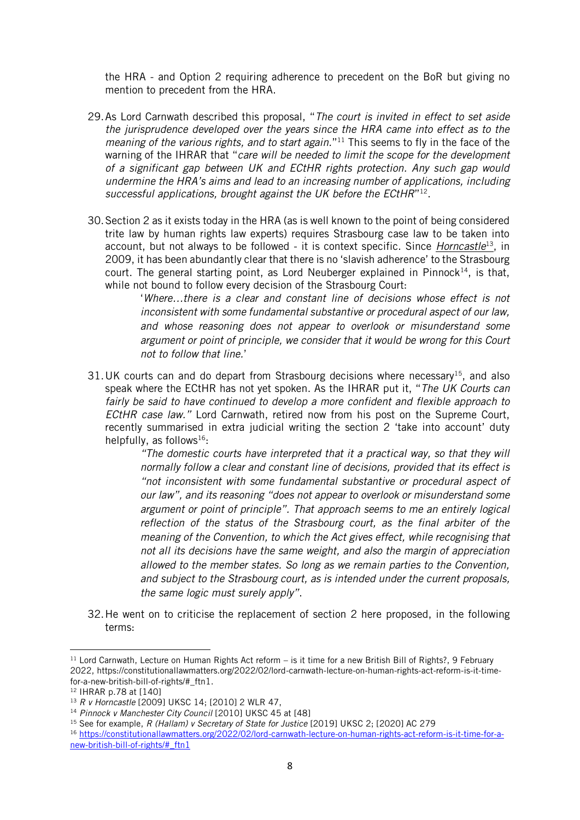the HRA - and Option 2 requiring adherence to precedent on the BoR but giving no mention to precedent from the HRA.

- 29.As Lord Carnwath described this proposal, "*The court is invited in effect to set aside the jurisprudence developed over the years since the HRA came into effect as to the meaning of the various rights, and to start again.*" <sup>11</sup> This seems to fly in the face of the warning of the IHRAR that "*care will be needed to limit the scope for the development of a significant gap between UK and ECtHR rights protection. Any such gap would undermine the HRA's aims and lead to an increasing number of applications, including*  successful applications, brought against the UK before the ECtHR"<sup>12</sup>.
- 30.Section 2 as it exists today in the HRA (as is well known to the point of being considered trite law by human rights law experts) requires Strasbourg case law to be taken into account, but not always to be followed - it is context specific. Since *Horncastle* <sup>13</sup>, in 2009, it has been abundantly clear that there is no 'slavish adherence' to the Strasbourg court. The general starting point, as Lord Neuberger explained in Pinnock<sup>14</sup>, is that, while not bound to follow every decision of the Strasbourg Court:

'*Where…there is a clear and constant line of decisions whose effect is not inconsistent with some fundamental substantive or procedural aspect of our law, and whose reasoning does not appear to overlook or misunderstand some argument or point of principle, we consider that it would be wrong for this Court not to follow that line.*'

31. UK courts can and do depart from Strasbourg decisions where necessary<sup>15</sup>, and also speak where the ECtHR has not yet spoken. As the IHRAR put it, "*The UK Courts can fairly be said to have continued to develop a more confident and flexible approach to ECtHR case law."* Lord Carnwath, retired now from his post on the Supreme Court, recently summarised in extra judicial writing the section 2 'take into account' duty helpfully, as follows<sup>16</sup>:

> *"The domestic courts have interpreted that it a practical way, so that they will normally follow a clear and constant line of decisions, provided that its effect is "not inconsistent with some fundamental substantive or procedural aspect of our law", and its reasoning "does not appear to overlook or misunderstand some argument or point of principle". That approach seems to me an entirely logical reflection of the status of the Strasbourg court, as the final arbiter of the meaning of the Convention, to which the Act gives effect, while recognising that not all its decisions have the same weight, and also the margin of appreciation allowed to the member states. So long as we remain parties to the Convention, and subject to the Strasbourg court, as is intended under the current proposals, the same logic must surely apply"*.

32.He went on to criticise the replacement of section 2 here proposed, in the following terms:

 $11$  Lord Carnwath, Lecture on Human Rights Act reform – is it time for a new British Bill of Rights?, 9 February 2022, https://constitutionallawmatters.org/2022/02/lord-carnwath-lecture-on-human-rights-act-reform-is-it-timefor-a-new-british-bill-of-rights/#\_ftn1.

<sup>12</sup> IHRAR p.78 at [140]

<sup>13</sup> *R v Horncastle* [2009] UKSC 14; [2010] 2 WLR 47,

<sup>14</sup> *Pinnock v Manchester City Council* [2010] UKSC 45 at [48]

<sup>15</sup> See for example, *R (Hallam) v Secretary of State for Justice* [2019] UKSC 2; [2020] AC 279

<sup>16</sup> [https://constitutionallawmatters.org/2022/02/lord-carnwath-lecture-on-human-rights-act-reform-is-it-time-for-a](https://constitutionallawmatters.org/2022/02/lord-carnwath-lecture-on-human-rights-act-reform-is-it-time-for-a-new-british-bill-of-rights/#_ftn1)[new-british-bill-of-rights/#\\_ftn1](https://constitutionallawmatters.org/2022/02/lord-carnwath-lecture-on-human-rights-act-reform-is-it-time-for-a-new-british-bill-of-rights/#_ftn1)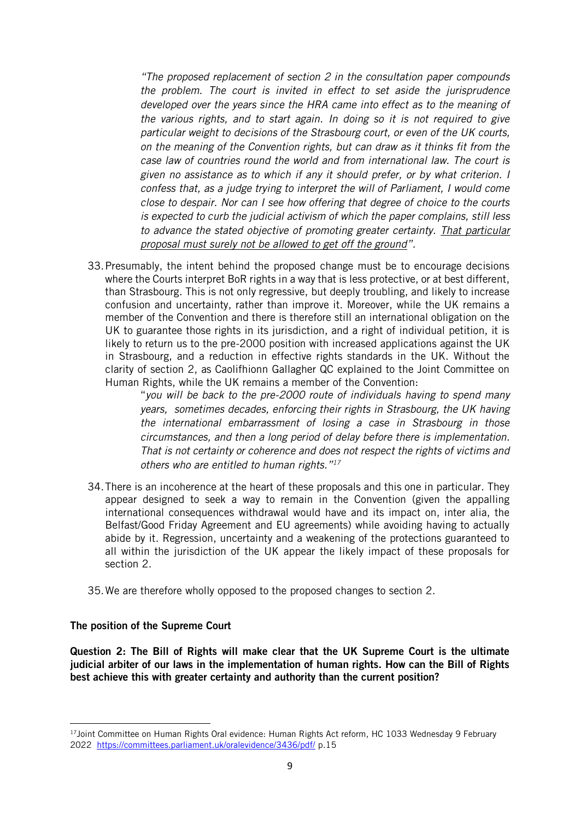*"The proposed replacement of section 2 in the consultation paper compounds the problem. The court is invited in effect to set aside the jurisprudence developed over the years since the HRA came into effect as to the meaning of the various rights, and to start again. In doing so it is not required to give particular weight to decisions of the Strasbourg court, or even of the UK courts, on the meaning of the Convention rights, but can draw as it thinks fit from the case law of countries round the world and from international law. The court is given no assistance as to which if any it should prefer, or by what criterion. I confess that, as a judge trying to interpret the will of Parliament, I would come close to despair. Nor can I see how offering that degree of choice to the courts is expected to curb the judicial activism of which the paper complains, still less to advance the stated objective of promoting greater certainty. That particular proposal must surely not be allowed to get off the ground".* 

33.Presumably, the intent behind the proposed change must be to encourage decisions where the Courts interpret BoR rights in a way that is less protective, or at best different, than Strasbourg. This is not only regressive, but deeply troubling, and likely to increase confusion and uncertainty, rather than improve it. Moreover, while the UK remains a member of the Convention and there is therefore still an international obligation on the UK to guarantee those rights in its jurisdiction, and a right of individual petition, it is likely to return us to the pre-2000 position with increased applications against the UK in Strasbourg, and a reduction in effective rights standards in the UK. Without the clarity of section 2, as Caolifhionn Gallagher QC explained to the Joint Committee on Human Rights, while the UK remains a member of the Convention:

> "*you will be back to the pre-2000 route of individuals having to spend many years, sometimes decades, enforcing their rights in Strasbourg, the UK having the international embarrassment of losing a case in Strasbourg in those circumstances, and then a long period of delay before there is implementation. That is not certainty or coherence and does not respect the rights of victims and others who are entitled to human rights."<sup>17</sup>*

- 34.There is an incoherence at the heart of these proposals and this one in particular. They appear designed to seek a way to remain in the Convention (given the appalling international consequences withdrawal would have and its impact on, inter alia, the Belfast/Good Friday Agreement and EU agreements) while avoiding having to actually abide by it. Regression, uncertainty and a weakening of the protections guaranteed to all within the jurisdiction of the UK appear the likely impact of these proposals for section 2.
- 35.We are therefore wholly opposed to the proposed changes to section 2.

#### The position of the Supreme Court

Question 2: The Bill of Rights will make clear that the UK Supreme Court is the ultimate judicial arbiter of our laws in the implementation of human rights. How can the Bill of Rights best achieve this with greater certainty and authority than the current position?

<sup>&</sup>lt;sup>17</sup>Joint Committee on Human Rights Oral evidence: Human Rights Act reform, HC 1033 Wednesday 9 February 2022 <https://committees.parliament.uk/oralevidence/3436/pdf/> p.15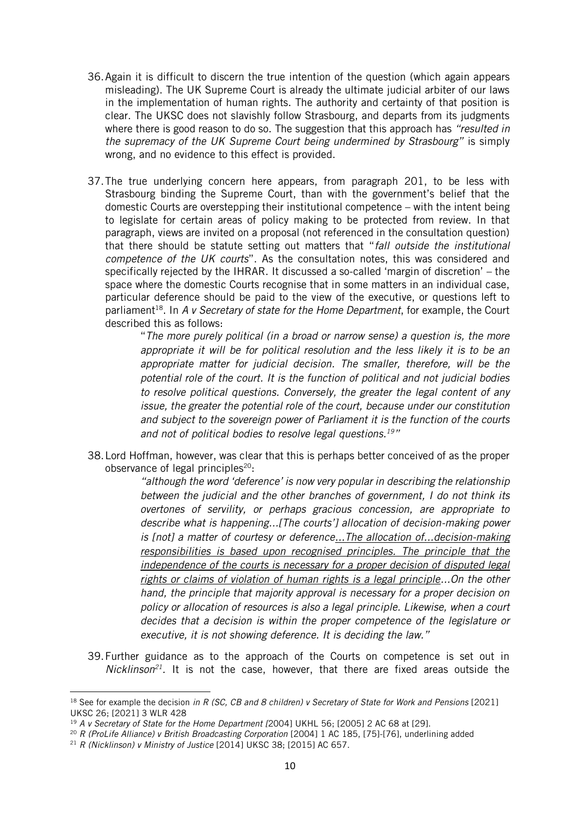- 36.Again it is difficult to discern the true intention of the question (which again appears misleading). The UK Supreme Court is already the ultimate judicial arbiter of our laws in the implementation of human rights. The authority and certainty of that position is clear. The UKSC does not slavishly follow Strasbourg, and departs from its judgments where there is good reason to do so. The suggestion that this approach has *"resulted in the supremacy of the UK Supreme Court being undermined by Strasbourg"* is simply wrong, and no evidence to this effect is provided.
- 37.The true underlying concern here appears, from paragraph 201, to be less with Strasbourg binding the Supreme Court, than with the government's belief that the domestic Courts are overstepping their institutional competence – with the intent being to legislate for certain areas of policy making to be protected from review. In that paragraph, views are invited on a proposal (not referenced in the consultation question) that there should be statute setting out matters that "*fall outside the institutional competence of the UK courts*". As the consultation notes, this was considered and specifically rejected by the IHRAR. It discussed a so-called 'margin of discretion' – the space where the domestic Courts recognise that in some matters in an individual case, particular deference should be paid to the view of the executive, or questions left to parliament<sup>18</sup>. In A v Secretary of state for the Home Department, for example, the Court described this as follows:

"*The more purely political (in a broad or narrow sense) a question is, the more appropriate it will be for political resolution and the less likely it is to be an appropriate matter for judicial decision. The smaller, therefore, will be the potential role of the court. It is the function of political and not judicial bodies to resolve political questions. Conversely, the greater the legal content of any issue, the greater the potential role of the court, because under our constitution and subject to the sovereign power of Parliament it is the function of the courts and not of political bodies to resolve legal questions.<sup>19</sup>"*

38.Lord Hoffman, however, was clear that this is perhaps better conceived of as the proper observance of legal principles $20$ :

> *"although the word 'deference' is now very popular in describing the relationship between the judicial and the other branches of government, I do not think its overtones of servility, or perhaps gracious concession, are appropriate to describe what is happening...[The courts'] allocation of decision-making power is [not] a matter of courtesy or deference...The allocation of...decision-making responsibilities is based upon recognised principles. The principle that the independence of the courts is necessary for a proper decision of disputed legal rights or claims of violation of human rights is a legal principle...On the other hand, the principle that majority approval is necessary for a proper decision on policy or allocation of resources is also a legal principle. Likewise, when a court decides that a decision is within the proper competence of the legislature or executive, it is not showing deference. It is deciding the law."*

39.Further guidance as to the approach of the Courts on competence is set out in *Nicklinson<sup>21</sup> .* It is not the case, however, that there are fixed areas outside the

<sup>18</sup> See for example the decision *in R (SC, CB and 8 children) v Secretary of State for Work and Pensions* [2021] UKSC 26; [2021] 3 WLR 428

<sup>19</sup> *A v Secretary of State for the Home Department [*2004] UKHL 56; [2005] 2 AC 68 at [29].

<sup>20</sup> *R (ProLife Alliance) v British Broadcasting Corporation* [2004] 1 AC 185, [75]-[76], underlining added

<sup>21</sup> *R (Nicklinson) v Ministry of Justice* [2014] UKSC 38; [2015] AC 657.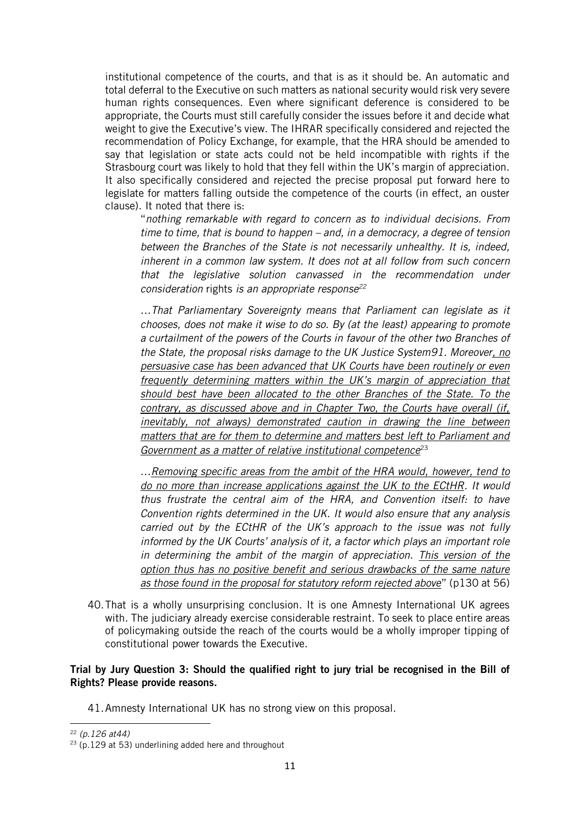institutional competence of the courts, and that is as it should be. An automatic and total deferral to the Executive on such matters as national security would risk very severe human rights consequences. Even where significant deference is considered to be appropriate, the Courts must still carefully consider the issues before it and decide what weight to give the Executive's view. The IHRAR specifically considered and rejected the recommendation of Policy Exchange, for example, that the HRA should be amended to say that legislation or state acts could not be held incompatible with rights if the Strasbourg court was likely to hold that they fell within the UK's margin of appreciation. It also specifically considered and rejected the precise proposal put forward here to legislate for matters falling outside the competence of the courts (in effect, an ouster clause). It noted that there is:

"*nothing remarkable with regard to concern as to individual decisions. From time to time, that is bound to happen – and, in a democracy, a degree of tension between the Branches of the State is not necessarily unhealthy. It is, indeed, inherent in a common law system. It does not at all follow from such concern that the legislative solution canvassed in the recommendation under consideration* rights *is an appropriate response<sup>22</sup>*

*…That Parliamentary Sovereignty means that Parliament can legislate as it chooses, does not make it wise to do so. By (at the least) appearing to promote a curtailment of the powers of the Courts in favour of the other two Branches of the State, the proposal risks damage to the UK Justice System91. Moreover, no persuasive case has been advanced that UK Courts have been routinely or even frequently determining matters within the UK's margin of appreciation that should best have been allocated to the other Branches of the State. To the contrary, as discussed above and in Chapter Two, the Courts have overall (if, inevitably, not always) demonstrated caution in drawing the line between matters that are for them to determine and matters best left to Parliament and Government as a matter of relative institutional competence*<sup>23</sup>

…*Removing specific areas from the ambit of the HRA would, however, tend to do no more than increase applications against the UK to the ECtHR. It would thus frustrate the central aim of the HRA, and Convention itself: to have Convention rights determined in the UK. It would also ensure that any analysis carried out by the ECtHR of the UK's approach to the issue was not fully informed by the UK Courts' analysis of it, a factor which plays an important role in determining the ambit of the margin of appreciation. This version of the option thus has no positive benefit and serious drawbacks of the same nature as those found in the proposal for statutory reform rejected above*" (p130 at 56)

40.That is a wholly unsurprising conclusion. It is one Amnesty International UK agrees with. The judiciary already exercise considerable restraint. To seek to place entire areas of policymaking outside the reach of the courts would be a wholly improper tipping of constitutional power towards the Executive.

#### Trial by Jury Question 3: Should the qualified right to jury trial be recognised in the Bill of Rights? Please provide reasons.

41.Amnesty International UK has no strong view on this proposal.

<sup>22</sup> *(p.126 at44)*

 $23$  (p.129 at 53) underlining added here and throughout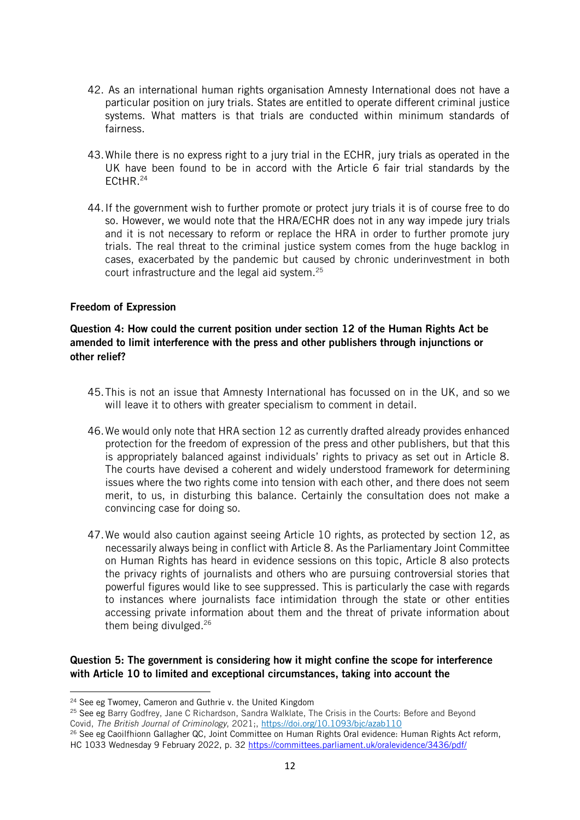- 42. As an international human rights organisation Amnesty International does not have a particular position on jury trials. States are entitled to operate different criminal justice systems. What matters is that trials are conducted within minimum standards of fairness.
- 43.While there is no express right to a jury trial in the ECHR, jury trials as operated in the UK have been found to be in accord with the Article 6 fair trial standards by the ECtHR.<sup>24</sup>
- 44.If the government wish to further promote or protect jury trials it is of course free to do so. However, we would note that the HRA/ECHR does not in any way impede jury trials and it is not necessary to reform or replace the HRA in order to further promote jury trials. The real threat to the criminal justice system comes from the huge backlog in cases, exacerbated by the pandemic but caused by chronic underinvestment in both court infrastructure and the legal aid system.<sup>25</sup>

#### Freedom of Expression

## Question 4: How could the current position under section 12 of the Human Rights Act be amended to limit interference with the press and other publishers through injunctions or other relief?

- 45.This is not an issue that Amnesty International has focussed on in the UK, and so we will leave it to others with greater specialism to comment in detail.
- 46.We would only note that HRA section 12 as currently drafted already provides enhanced protection for the freedom of expression of the press and other publishers, but that this is appropriately balanced against individuals' rights to privacy as set out in Article 8. The courts have devised a coherent and widely understood framework for determining issues where the two rights come into tension with each other, and there does not seem merit, to us, in disturbing this balance. Certainly the consultation does not make a convincing case for doing so.
- 47.We would also caution against seeing Article 10 rights, as protected by section 12, as necessarily always being in conflict with Article 8. As the Parliamentary Joint Committee on Human Rights has heard in evidence sessions on this topic, Article 8 also protects the privacy rights of journalists and others who are pursuing controversial stories that powerful figures would like to see suppressed. This is particularly the case with regards to instances where journalists face intimidation through the state or other entities accessing private information about them and the threat of private information about them being divulged.<sup>26</sup>

## Question 5: The government is considering how it might confine the scope for interference with Article 10 to limited and exceptional circumstances, taking into account the

<sup>26</sup> See eg Caoilfhionn Gallagher QC, Joint Committee on Human Rights Oral evidence: Human Rights Act reform, HC 1033 Wednesday 9 February 2022, p. 32<https://committees.parliament.uk/oralevidence/3436/pdf/>

<sup>&</sup>lt;sup>24</sup> See eg Twomey, Cameron and Guthrie y, the United Kingdom

<sup>&</sup>lt;sup>25</sup> See eg Barry Godfrey, Jane C Richardson, Sandra Walklate, The Crisis in the Courts: Before and Beyond Covid, *The British Journal of Criminology*, 2021;, <https://doi.org/10.1093/bjc/azab110>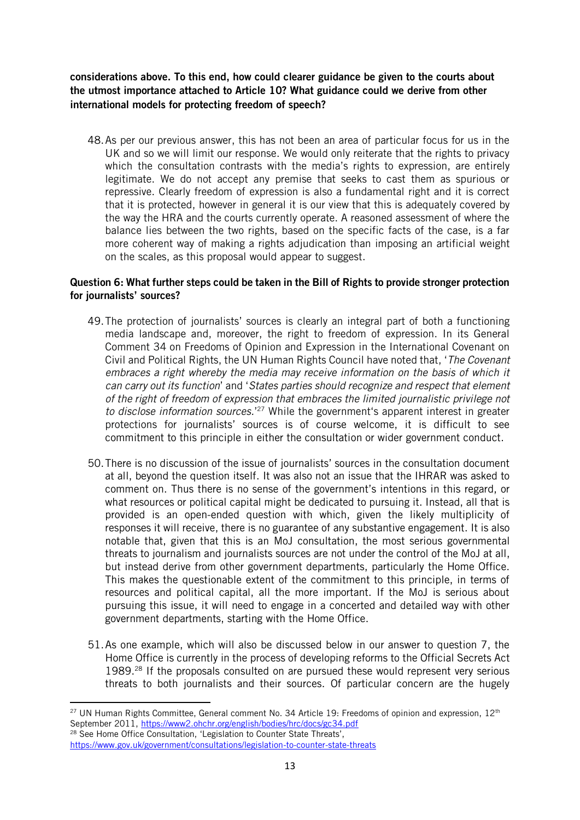considerations above. To this end, how could clearer guidance be given to the courts about the utmost importance attached to Article 10? What guidance could we derive from other international models for protecting freedom of speech?

48.As per our previous answer, this has not been an area of particular focus for us in the UK and so we will limit our response. We would only reiterate that the rights to privacy which the consultation contrasts with the media's rights to expression, are entirely legitimate. We do not accept any premise that seeks to cast them as spurious or repressive. Clearly freedom of expression is also a fundamental right and it is correct that it is protected, however in general it is our view that this is adequately covered by the way the HRA and the courts currently operate. A reasoned assessment of where the balance lies between the two rights, based on the specific facts of the case, is a far more coherent way of making a rights adjudication than imposing an artificial weight on the scales, as this proposal would appear to suggest.

## Question 6: What further steps could be taken in the Bill of Rights to provide stronger protection for journalists' sources?

- 49.The protection of journalists' sources is clearly an integral part of both a functioning media landscape and, moreover, the right to freedom of expression. In its General Comment 34 on Freedoms of Opinion and Expression in the International Covenant on Civil and Political Rights, the UN Human Rights Council have noted that, '*The Covenant embraces a right whereby the media may receive information on the basis of which it can carry out its function*' and '*States parties should recognize and respect that element of the right of freedom of expression that embraces the limited journalistic privilege not to disclose information sources.*' <sup>27</sup> While the government's apparent interest in greater protections for journalists' sources is of course welcome, it is difficult to see commitment to this principle in either the consultation or wider government conduct.
- 50.There is no discussion of the issue of journalists' sources in the consultation document at all, beyond the question itself. It was also not an issue that the IHRAR was asked to comment on. Thus there is no sense of the government's intentions in this regard, or what resources or political capital might be dedicated to pursuing it. Instead, all that is provided is an open-ended question with which, given the likely multiplicity of responses it will receive, there is no guarantee of any substantive engagement. It is also notable that, given that this is an MoJ consultation, the most serious governmental threats to journalism and journalists sources are not under the control of the MoJ at all, but instead derive from other government departments, particularly the Home Office. This makes the questionable extent of the commitment to this principle, in terms of resources and political capital, all the more important. If the MoJ is serious about pursuing this issue, it will need to engage in a concerted and detailed way with other government departments, starting with the Home Office.
- 51.As one example, which will also be discussed below in our answer to question 7, the Home Office is currently in the process of developing reforms to the Official Secrets Act 1989.<sup>28</sup> If the proposals consulted on are pursued these would represent very serious threats to both journalists and their sources. Of particular concern are the hugely

<sup>28</sup> See Home Office Consultation, 'Legislation to Counter State Threats', <https://www.gov.uk/government/consultations/legislation-to-counter-state-threats>

<sup>&</sup>lt;sup>27</sup> UN Human Rights Committee, General comment No. 34 Article 19: Freedoms of opinion and expression, 12<sup>th</sup> September 2011[, https://www2.ohchr.org/english/bodies/hrc/docs/gc34.pdf](https://www2.ohchr.org/english/bodies/hrc/docs/gc34.pdf)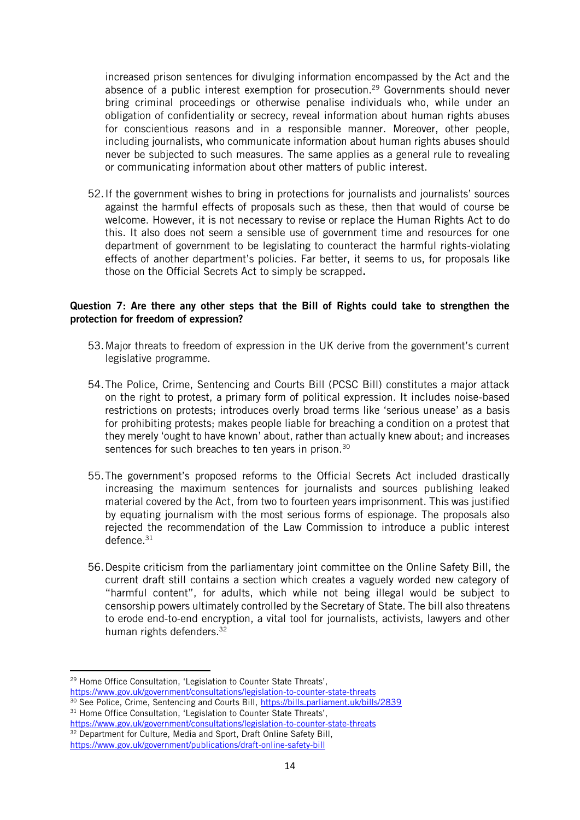increased prison sentences for divulging information encompassed by the Act and the absence of a public interest exemption for prosecution.<sup>29</sup> Governments should never bring criminal proceedings or otherwise penalise individuals who, while under an obligation of confidentiality or secrecy, reveal information about human rights abuses for conscientious reasons and in a responsible manner. Moreover, other people, including journalists, who communicate information about human rights abuses should never be subjected to such measures. The same applies as a general rule to revealing or communicating information about other matters of public interest.

52.If the government wishes to bring in protections for journalists and journalists' sources against the harmful effects of proposals such as these, then that would of course be welcome. However, it is not necessary to revise or replace the Human Rights Act to do this. It also does not seem a sensible use of government time and resources for one department of government to be legislating to counteract the harmful rights-violating effects of another department's policies. Far better, it seems to us, for proposals like those on the Official Secrets Act to simply be scrapped.

#### Question 7: Are there any other steps that the Bill of Rights could take to strengthen the protection for freedom of expression?

- 53.Major threats to freedom of expression in the UK derive from the government's current legislative programme.
- 54.The Police, Crime, Sentencing and Courts Bill (PCSC Bill) constitutes a major attack on the right to protest, a primary form of political expression. It includes noise-based restrictions on protests; introduces overly broad terms like 'serious unease' as a basis for prohibiting protests; makes people liable for breaching a condition on a protest that they merely 'ought to have known' about, rather than actually knew about; and increases sentences for such breaches to ten years in prison.<sup>30</sup>
- 55.The government's proposed reforms to the Official Secrets Act included drastically increasing the maximum sentences for journalists and sources publishing leaked material covered by the Act, from two to fourteen years imprisonment. This was justified by equating journalism with the most serious forms of espionage. The proposals also rejected the recommendation of the Law Commission to introduce a public interest defence.<sup>31</sup>
- 56.Despite criticism from the parliamentary joint committee on the Online Safety Bill, the current draft still contains a section which creates a vaguely worded new category of "harmful content", for adults, which while not being illegal would be subject to censorship powers ultimately controlled by the Secretary of State. The bill also threatens to erode end-to-end encryption, a vital tool for journalists, activists, lawyers and other human rights defenders.<sup>32</sup>

<sup>&</sup>lt;sup>29</sup> Home Office Consultation, 'Legislation to Counter State Threats'. <https://www.gov.uk/government/consultations/legislation-to-counter-state-threats>

<sup>&</sup>lt;sup>30</sup> See Police, Crime, Sentencing and Courts Bill,<https://bills.parliament.uk/bills/2839>

<sup>&</sup>lt;sup>31</sup> Home Office Consultation, 'Legislation to Counter State Threats', <https://www.gov.uk/government/consultations/legislation-to-counter-state-threats>

<sup>&</sup>lt;sup>32</sup> Department for Culture, Media and Sport, Draft Online Safety Bill, <https://www.gov.uk/government/publications/draft-online-safety-bill>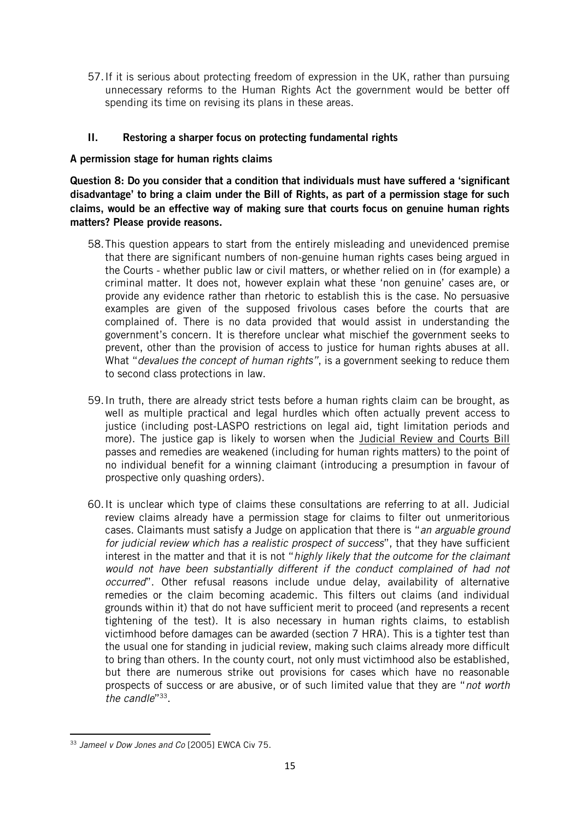57.If it is serious about protecting freedom of expression in the UK, rather than pursuing unnecessary reforms to the Human Rights Act the government would be better off spending its time on revising its plans in these areas.

## II. Restoring a sharper focus on protecting fundamental rights

#### A permission stage for human rights claims

Question 8: Do you consider that a condition that individuals must have suffered a 'significant disadvantage' to bring a claim under the Bill of Rights, as part of a permission stage for such claims, would be an effective way of making sure that courts focus on genuine human rights matters? Please provide reasons.

- 58.This question appears to start from the entirely misleading and unevidenced premise that there are significant numbers of non-genuine human rights cases being argued in the Courts - whether public law or civil matters, or whether relied on in (for example) a criminal matter. It does not, however explain what these 'non genuine' cases are, or provide any evidence rather than rhetoric to establish this is the case. No persuasive examples are given of the supposed frivolous cases before the courts that are complained of. There is no data provided that would assist in understanding the government's concern. It is therefore unclear what mischief the government seeks to prevent, other than the provision of access to justice for human rights abuses at all. What "*devalues the concept of human rights"*, is a government seeking to reduce them to second class protections in law.
- 59.In truth, there are already strict tests before a human rights claim can be brought, as well as multiple practical and legal hurdles which often actually prevent access to justice (including post-LASPO restrictions on legal aid, tight limitation periods and more). The justice gap is likely to worsen when the Judicial Review and Courts Bill passes and remedies are weakened (including for human rights matters) to the point of no individual benefit for a winning claimant (introducing a presumption in favour of prospective only quashing orders).
- 60.It is unclear which type of claims these consultations are referring to at all. Judicial review claims already have a permission stage for claims to filter out unmeritorious cases. Claimants must satisfy a Judge on application that there is "*an arguable ground for judicial review which has a realistic prospect of success*", that they have sufficient interest in the matter and that it is not "*highly likely that the outcome for the claimant*  would not have been substantially different if the conduct complained of had not *occurred*". Other refusal reasons include undue delay, availability of alternative remedies or the claim becoming academic. This filters out claims (and individual grounds within it) that do not have sufficient merit to proceed (and represents a recent tightening of the test). It is also necessary in human rights claims, to establish victimhood before damages can be awarded (section 7 HRA). This is a tighter test than the usual one for standing in judicial review, making such claims already more difficult to bring than others. In the county court, not only must victimhood also be established, but there are numerous strike out provisions for cases which have no reasonable prospects of success or are abusive, or of such limited value that they are "*not worth*  the candle"<sup>33</sup>.

<sup>33</sup> *Jameel v Dow Jones and Co* [2005] EWCA Civ 75.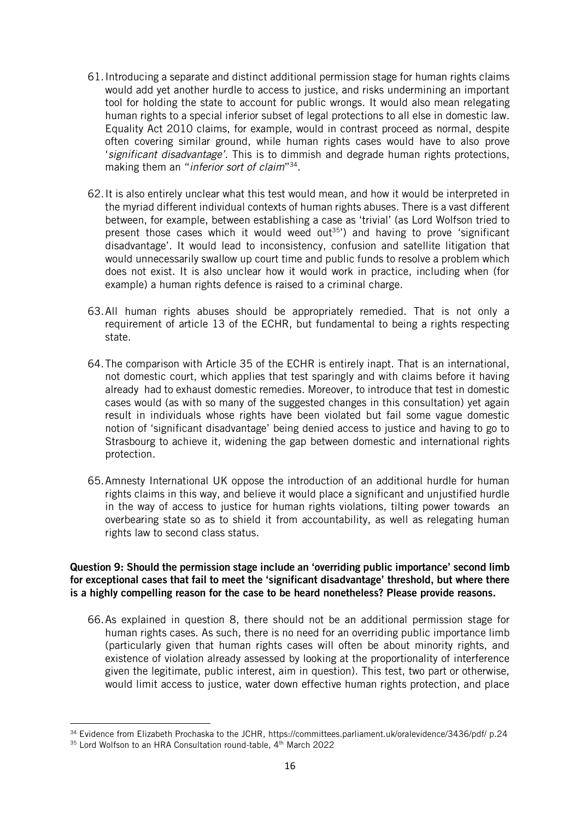- 61.Introducing a separate and distinct additional permission stage for human rights claims would add yet another hurdle to access to justice, and risks undermining an important tool for holding the state to account for public wrongs. It would also mean relegating human rights to a special inferior subset of legal protections to all else in domestic law. Equality Act 2010 claims, for example, would in contrast proceed as normal, despite often covering similar ground, while human rights cases would have to also prove '*significant disadvantage'*. This is to dimmish and degrade human rights protections, making them an "*inferior sort of claim*" 34 .
- 62.It is also entirely unclear what this test would mean, and how it would be interpreted in the myriad different individual contexts of human rights abuses. There is a vast different between, for example, between establishing a case as 'trivial' (as Lord Wolfson tried to present those cases which it would weed out<sup>35'</sup>) and having to prove 'significant disadvantage'. It would lead to inconsistency, confusion and satellite litigation that would unnecessarily swallow up court time and public funds to resolve a problem which does not exist. It is also unclear how it would work in practice, including when (for example) a human rights defence is raised to a criminal charge.
- 63.All human rights abuses should be appropriately remedied. That is not only a requirement of article 13 of the ECHR, but fundamental to being a rights respecting state.
- 64.The comparison with Article 35 of the ECHR is entirely inapt. That is an international, not domestic court, which applies that test sparingly and with claims before it having already had to exhaust domestic remedies. Moreover, to introduce that test in domestic cases would (as with so many of the suggested changes in this consultation) yet again result in individuals whose rights have been violated but fail some vague domestic notion of 'significant disadvantage' being denied access to justice and having to go to Strasbourg to achieve it, widening the gap between domestic and international rights protection.
- 65.Amnesty International UK oppose the introduction of an additional hurdle for human rights claims in this way, and believe it would place a significant and unjustified hurdle in the way of access to justice for human rights violations, tilting power towards an overbearing state so as to shield it from accountability, as well as relegating human rights law to second class status.

#### Question 9: Should the permission stage include an 'overriding public importance' second limb for exceptional cases that fail to meet the 'significant disadvantage' threshold, but where there is a highly compelling reason for the case to be heard nonetheless? Please provide reasons.

66.As explained in question 8, there should not be an additional permission stage for human rights cases. As such, there is no need for an overriding public importance limb (particularly given that human rights cases will often be about minority rights, and existence of violation already assessed by looking at the proportionality of interference given the legitimate, public interest, aim in question). This test, two part or otherwise, would limit access to justice, water down effective human rights protection, and place

<sup>34</sup> Evidence from Elizabeth Prochaska to the JCHR, https://committees.parliament.uk/oralevidence/3436/pdf/ p.24

 $35$  Lord Wolfson to an HRA Consultation round-table,  $4<sup>th</sup>$  March 2022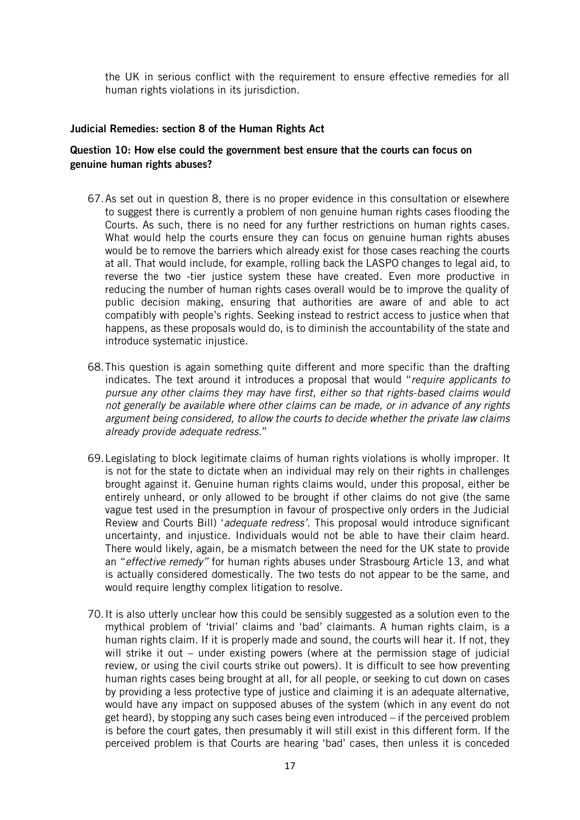the UK in serious conflict with the requirement to ensure effective remedies for all human rights violations in its jurisdiction.

#### Judicial Remedies: section 8 of the Human Rights Act

#### Question 10: How else could the government best ensure that the courts can focus on genuine human rights abuses?

- 67.As set out in question 8, there is no proper evidence in this consultation or elsewhere to suggest there is currently a problem of non genuine human rights cases flooding the Courts. As such, there is no need for any further restrictions on human rights cases. What would help the courts ensure they can focus on genuine human rights abuses would be to remove the barriers which already exist for those cases reaching the courts at all. That would include, for example, rolling back the LASPO changes to legal aid, to reverse the two -tier justice system these have created. Even more productive in reducing the number of human rights cases overall would be to improve the quality of public decision making, ensuring that authorities are aware of and able to act compatibly with people's rights. Seeking instead to restrict access to justice when that happens, as these proposals would do, is to diminish the accountability of the state and introduce systematic injustice.
- 68.This question is again something quite different and more specific than the drafting indicates. The text around it introduces a proposal that would "*require applicants to pursue any other claims they may have first, either so that rights-based claims would not generally be available where other claims can be made, or in advance of any rights argument being considered, to allow the courts to decide whether the private law claims already provide adequate redress.*"
- 69.Legislating to block legitimate claims of human rights violations is wholly improper. It is not for the state to dictate when an individual may rely on their rights in challenges brought against it. Genuine human rights claims would, under this proposal, either be entirely unheard, or only allowed to be brought if other claims do not give (the same vague test used in the presumption in favour of prospective only orders in the Judicial Review and Courts Bill) '*adequate redress'*. This proposal would introduce significant uncertainty, and injustice. Individuals would not be able to have their claim heard. There would likely, again, be a mismatch between the need for the UK state to provide an "*effective remedy"* for human rights abuses under Strasbourg Article 13, and what is actually considered domestically. The two tests do not appear to be the same, and would require lengthy complex litigation to resolve.
- 70.It is also utterly unclear how this could be sensibly suggested as a solution even to the mythical problem of 'trivial' claims and 'bad' claimants. A human rights claim, is a human rights claim. If it is properly made and sound, the courts will hear it. If not, they will strike it out – under existing powers (where at the permission stage of judicial review, or using the civil courts strike out powers). It is difficult to see how preventing human rights cases being brought at all, for all people, or seeking to cut down on cases by providing a less protective type of justice and claiming it is an adequate alternative, would have any impact on supposed abuses of the system (which in any event do not get heard), by stopping any such cases being even introduced – if the perceived problem is before the court gates, then presumably it will still exist in this different form. If the perceived problem is that Courts are hearing 'bad' cases, then unless it is conceded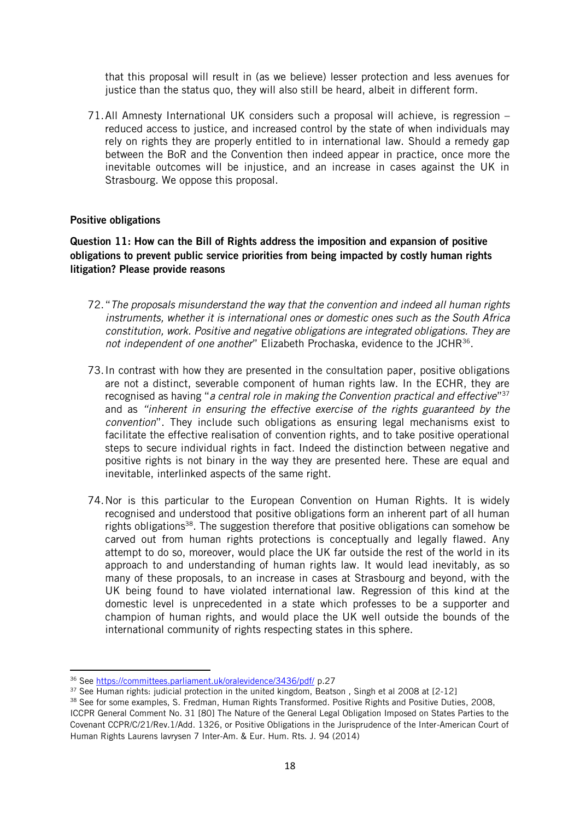that this proposal will result in (as we believe) lesser protection and less avenues for justice than the status quo, they will also still be heard, albeit in different form.

71.All Amnesty International UK considers such a proposal will achieve, is regression – reduced access to justice, and increased control by the state of when individuals may rely on rights they are properly entitled to in international law. Should a remedy gap between the BoR and the Convention then indeed appear in practice, once more the inevitable outcomes will be injustice, and an increase in cases against the UK in Strasbourg. We oppose this proposal.

#### Positive obligations

Question 11: How can the Bill of Rights address the imposition and expansion of positive obligations to prevent public service priorities from being impacted by costly human rights litigation? Please provide reasons

- 72."*The proposals misunderstand the way that the convention and indeed all human rights instruments, whether it is international ones or domestic ones such as the South Africa constitution, work. Positive and negative obligations are integrated obligations. They are*  not independent of one another" Elizabeth Prochaska, evidence to the JCHR<sup>36</sup>.
- 73.In contrast with how they are presented in the consultation paper, positive obligations are not a distinct, severable component of human rights law. In the ECHR, they are recognised as having "*a central role in making the Convention practical and effective*" 37 and as *"inherent in ensuring the effective exercise of the rights guaranteed by the convention*". They include such obligations as ensuring legal mechanisms exist to facilitate the effective realisation of convention rights, and to take positive operational steps to secure individual rights in fact. Indeed the distinction between negative and positive rights is not binary in the way they are presented here. These are equal and inevitable, interlinked aspects of the same right.
- 74.Nor is this particular to the European Convention on Human Rights. It is widely recognised and understood that positive obligations form an inherent part of all human rights obligations<sup>38</sup>. The suggestion therefore that positive obligations can somehow be carved out from human rights protections is conceptually and legally flawed. Any attempt to do so, moreover, would place the UK far outside the rest of the world in its approach to and understanding of human rights law. It would lead inevitably, as so many of these proposals, to an increase in cases at Strasbourg and beyond, with the UK being found to have violated international law. Regression of this kind at the domestic level is unprecedented in a state which professes to be a supporter and champion of human rights, and would place the UK well outside the bounds of the international community of rights respecting states in this sphere.

<sup>36</sup> Se[e https://committees.parliament.uk/oralevidence/3436/pdf/](https://committees.parliament.uk/oralevidence/3436/pdf/) p.27

<sup>&</sup>lt;sup>37</sup> See Human rights: judicial protection in the united kingdom, Beatson, Singh et al 2008 at [2-12]

<sup>&</sup>lt;sup>38</sup> See for some examples, S. Fredman, Human Rights Transformed. Positive Rights and Positive Duties, 2008, ICCPR General Comment No. 31 [80] The Nature of the General Legal Obligation Imposed on States Parties to the Covenant CCPR/C/21/Rev.1/Add. 1326, or Positive Obligations in the Jurisprudence of the Inter-American Court of Human Rights Laurens lavrysen 7 Inter-Am. & Eur. Hum. Rts. J. 94 (2014)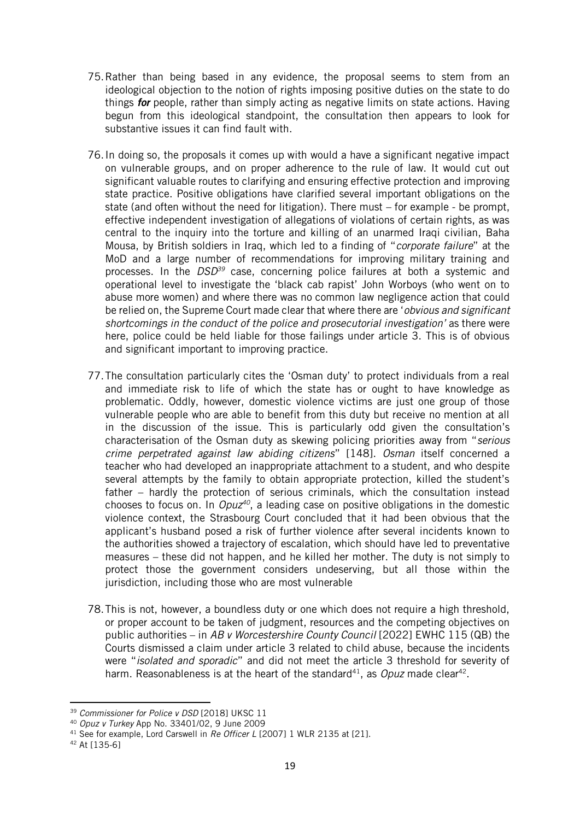- 75.Rather than being based in any evidence, the proposal seems to stem from an ideological objection to the notion of rights imposing positive duties on the state to do things *for* people, rather than simply acting as negative limits on state actions. Having begun from this ideological standpoint, the consultation then appears to look for substantive issues it can find fault with.
- 76.In doing so, the proposals it comes up with would a have a significant negative impact on vulnerable groups, and on proper adherence to the rule of law. It would cut out significant valuable routes to clarifying and ensuring effective protection and improving state practice. Positive obligations have clarified several important obligations on the state (and often without the need for litigation). There must – for example - be prompt, effective independent investigation of allegations of violations of certain rights, as was central to the inquiry into the torture and killing of an unarmed Iraqi civilian, Baha Mousa, by British soldiers in Iraq, which led to a finding of "*corporate failure*" at the MoD and a large number of recommendations for improving military training and processes. In the *DSD<sup>39</sup>* case, concerning police failures at both a systemic and operational level to investigate the 'black cab rapist' John Worboys (who went on to abuse more women) and where there was no common law negligence action that could be relied on, the Supreme Court made clear that where there are '*obvious and significant shortcomings in the conduct of the police and prosecutorial investigation'* as there were here, police could be held liable for those failings under article 3. This is of obvious and significant important to improving practice.
- 77.The consultation particularly cites the 'Osman duty' to protect individuals from a real and immediate risk to life of which the state has or ought to have knowledge as problematic. Oddly, however, domestic violence victims are just one group of those vulnerable people who are able to benefit from this duty but receive no mention at all in the discussion of the issue. This is particularly odd given the consultation's characterisation of the Osman duty as skewing policing priorities away from "*serious crime perpetrated against law abiding citizens*" [148]. *Osman* itself concerned a teacher who had developed an inappropriate attachment to a student, and who despite several attempts by the family to obtain appropriate protection, killed the student's father – hardly the protection of serious criminals, which the consultation instead chooses to focus on. In *Opuz<sup>40</sup>*, a leading case on positive obligations in the domestic violence context, the Strasbourg Court concluded that it had been obvious that the applicant's husband posed a risk of further violence after several incidents known to the authorities showed a trajectory of escalation, which should have led to preventative measures – these did not happen, and he killed her mother. The duty is not simply to protect those the government considers undeserving, but all those within the jurisdiction, including those who are most vulnerable
- 78.This is not, however, a boundless duty or one which does not require a high threshold, or proper account to be taken of judgment, resources and the competing objectives on public authorities – in *AB v Worcestershire County Council* [2022] EWHC 115 (QB) the Courts dismissed a claim under article 3 related to child abuse, because the incidents were "*isolated and sporadic*" and did not meet the article 3 threshold for severity of harm. Reasonableness is at the heart of the standard<sup>41</sup>, as *Opuz* made clear<sup>42</sup>.

<sup>39</sup> *Commissioner for Police v DSD* [2018] UKSC 11

<sup>40</sup> *Opuz v Turkey* App No. 33401/02, 9 June 2009

<sup>41</sup> See for example, Lord Carswell in *Re Officer L* [2007] 1 WLR 2135 at [21].

<sup>42</sup> At [135-6]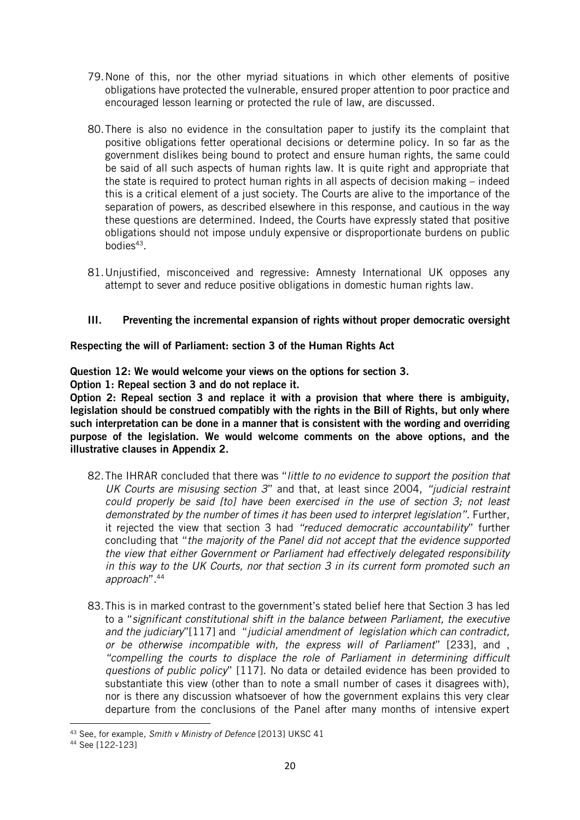- 79.None of this, nor the other myriad situations in which other elements of positive obligations have protected the vulnerable, ensured proper attention to poor practice and encouraged lesson learning or protected the rule of law, are discussed.
- 80.There is also no evidence in the consultation paper to justify its the complaint that positive obligations fetter operational decisions or determine policy. In so far as the government dislikes being bound to protect and ensure human rights, the same could be said of all such aspects of human rights law. It is quite right and appropriate that the state is required to protect human rights in all aspects of decision making – indeed this is a critical element of a just society. The Courts are alive to the importance of the separation of powers, as described elsewhere in this response, and cautious in the way these questions are determined. Indeed, the Courts have expressly stated that positive obligations should not impose unduly expensive or disproportionate burdens on public bodies<sup>43</sup>.
- 81.Unjustified, misconceived and regressive: Amnesty International UK opposes any attempt to sever and reduce positive obligations in domestic human rights law.

# III. Preventing the incremental expansion of rights without proper democratic oversight

Respecting the will of Parliament: section 3 of the Human Rights Act

Question 12: We would welcome your views on the options for section 3.

Option 1: Repeal section 3 and do not replace it.

Option 2: Repeal section 3 and replace it with a provision that where there is ambiguity, legislation should be construed compatibly with the rights in the Bill of Rights, but only where such interpretation can be done in a manner that is consistent with the wording and overriding purpose of the legislation. We would welcome comments on the above options, and the illustrative clauses in Appendix 2.

- 82.The IHRAR concluded that there was "*little to no evidence to support the position that UK Courts are misusing section 3*" and that, at least since 2004, *"judicial restraint could properly be said [to] have been exercised in the use of section 3; not least demonstrated by the number of times it has been used to interpret legislation"*. Further, it rejected the view that section 3 had *"reduced democratic accountability*" further concluding that "*the majority of the Panel did not accept that the evidence supported the view that either Government or Parliament had effectively delegated responsibility in this way to the UK Courts, nor that section 3 in its current form promoted such an approach*".<sup>44</sup>
- 83.This is in marked contrast to the government's stated belief here that Section 3 has led to a "*significant constitutional shift in the balance between Parliament, the executive and the judiciary*"[117] and "*judicial amendment of legislation which can contradict, or be otherwise incompatible with, the express will of Parliament*" [233], and , *"compelling the courts to displace the role of Parliament in determining difficult questions of public policy*" [117]. No data or detailed evidence has been provided to substantiate this view (other than to note a small number of cases it disagrees with), nor is there any discussion whatsoever of how the government explains this very clear departure from the conclusions of the Panel after many months of intensive expert

<sup>43</sup> See, for example, *Smith v Ministry of Defence* [2013] UKSC 41

<sup>44</sup> See [122-123]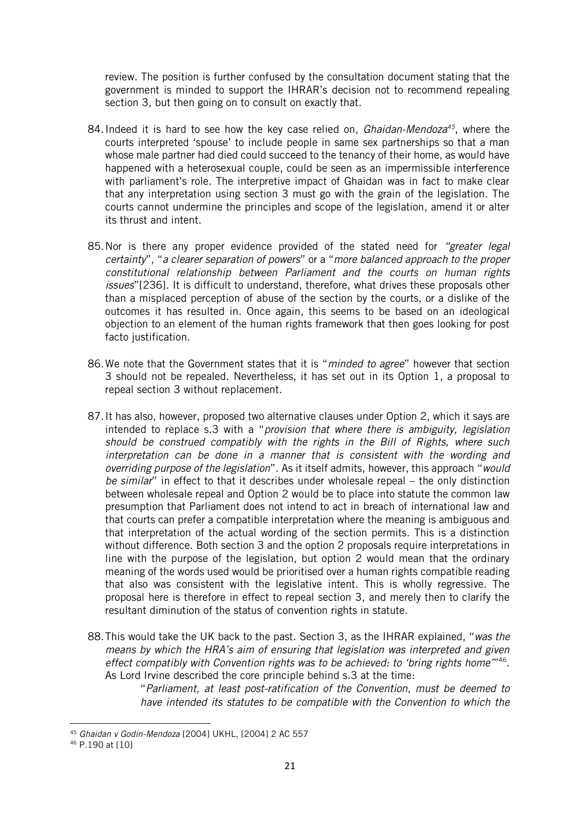review. The position is further confused by the consultation document stating that the government is minded to support the IHRAR's decision not to recommend repealing section 3, but then going on to consult on exactly that.

- 84.Indeed it is hard to see how the key case relied on, *Ghaidan-Mendoza<sup>45</sup>*, where the courts interpreted 'spouse' to include people in same sex partnerships so that a man whose male partner had died could succeed to the tenancy of their home, as would have happened with a heterosexual couple, could be seen as an impermissible interference with parliament's role. The interpretive impact of Ghaidan was in fact to make clear that any interpretation using section 3 must go with the grain of the legislation. The courts cannot undermine the principles and scope of the legislation, amend it or alter its thrust and intent.
- 85.Nor is there any proper evidence provided of the stated need for *"greater legal certainty*", "*a clearer separation of powers*" or a "*more balanced approach to the proper constitutional relationship between Parliament and the courts on human rights issues*"[236]. It is difficult to understand, therefore, what drives these proposals other than a misplaced perception of abuse of the section by the courts, or a dislike of the outcomes it has resulted in. Once again, this seems to be based on an ideological objection to an element of the human rights framework that then goes looking for post facto justification.
- 86.We note that the Government states that it is "*minded to agree*" however that section 3 should not be repealed. Nevertheless, it has set out in its Option 1, a proposal to repeal section 3 without replacement.
- 87.It has also, however, proposed two alternative clauses under Option 2, which it says are intended to replace s.3 with a "*provision that where there is ambiguity, legislation should be construed compatibly with the rights in the Bill of Rights, where such interpretation can be done in a manner that is consistent with the wording and overriding purpose of the legislation*". As it itself admits, however, this approach "*would be similar*" in effect to that it describes under wholesale repeal – the only distinction between wholesale repeal and Option 2 would be to place into statute the common law presumption that Parliament does not intend to act in breach of international law and that courts can prefer a compatible interpretation where the meaning is ambiguous and that interpretation of the actual wording of the section permits. This is a distinction without difference. Both section 3 and the option 2 proposals require interpretations in line with the purpose of the legislation, but option 2 would mean that the ordinary meaning of the words used would be prioritised over a human rights compatible reading that also was consistent with the legislative intent. This is wholly regressive. The proposal here is therefore in effect to repeal section 3, and merely then to clarify the resultant diminution of the status of convention rights in statute.
- 88.This would take the UK back to the past. Section 3, as the IHRAR explained, "*was the means by which the HRA's aim of ensuring that legislation was interpreted and given*  effect compatibly with Convention rights was to be achieved: to 'bring rights home"<sup>146</sup>. As Lord Irvine described the core principle behind s.3 at the time:

"*Parliament, at least post-ratification of the Convention, must be deemed to have intended its statutes to be compatible with the Convention to which the* 

<sup>45</sup> *Ghaidan v Godin-Mendoza* [2004] UKHL, [2004] 2 AC 557

<sup>46</sup> P.190 at [10]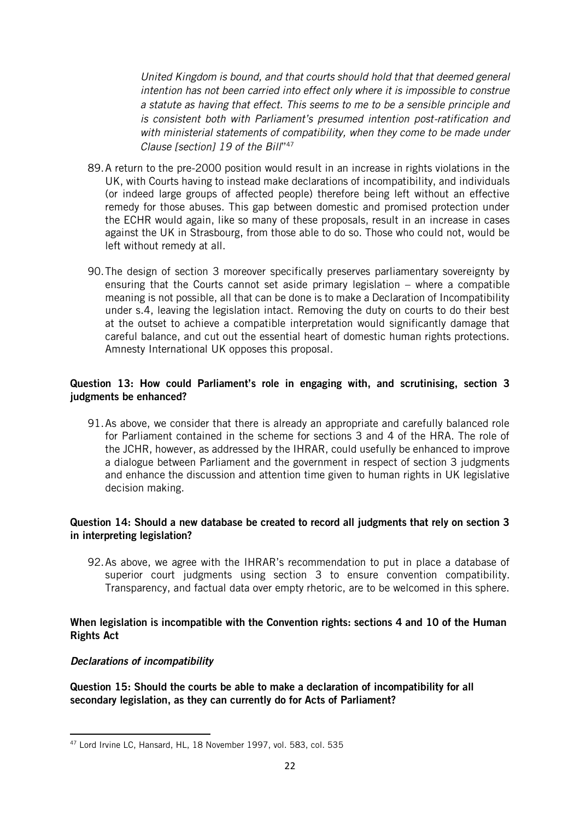*United Kingdom is bound, and that courts should hold that that deemed general intention has not been carried into effect only where it is impossible to construe a statute as having that effect. This seems to me to be a sensible principle and is consistent both with Parliament's presumed intention post-ratification and with ministerial statements of compatibility, when they come to be made under Clause [section] 19 of the Bill*" 47

- 89.A return to the pre-2000 position would result in an increase in rights violations in the UK, with Courts having to instead make declarations of incompatibility, and individuals (or indeed large groups of affected people) therefore being left without an effective remedy for those abuses. This gap between domestic and promised protection under the ECHR would again, like so many of these proposals, result in an increase in cases against the UK in Strasbourg, from those able to do so. Those who could not, would be left without remedy at all.
- 90.The design of section 3 moreover specifically preserves parliamentary sovereignty by ensuring that the Courts cannot set aside primary legislation – where a compatible meaning is not possible, all that can be done is to make a Declaration of Incompatibility under s.4, leaving the legislation intact. Removing the duty on courts to do their best at the outset to achieve a compatible interpretation would significantly damage that careful balance, and cut out the essential heart of domestic human rights protections. Amnesty International UK opposes this proposal.

## Question 13: How could Parliament's role in engaging with, and scrutinising, section 3 judgments be enhanced?

91.As above, we consider that there is already an appropriate and carefully balanced role for Parliament contained in the scheme for sections 3 and 4 of the HRA. The role of the JCHR, however, as addressed by the IHRAR, could usefully be enhanced to improve a dialogue between Parliament and the government in respect of section 3 judgments and enhance the discussion and attention time given to human rights in UK legislative decision making.

#### Question 14: Should a new database be created to record all judgments that rely on section 3 in interpreting legislation?

92.As above, we agree with the IHRAR's recommendation to put in place a database of superior court judgments using section 3 to ensure convention compatibility. Transparency, and factual data over empty rhetoric, are to be welcomed in this sphere.

## When legislation is incompatible with the Convention rights: sections 4 and 10 of the Human Rights Act

#### *Declarations of incompatibility*

Question 15: Should the courts be able to make a declaration of incompatibility for all secondary legislation, as they can currently do for Acts of Parliament?

<sup>47</sup> Lord Irvine LC, Hansard, HL, 18 November 1997, vol. 583, col. 535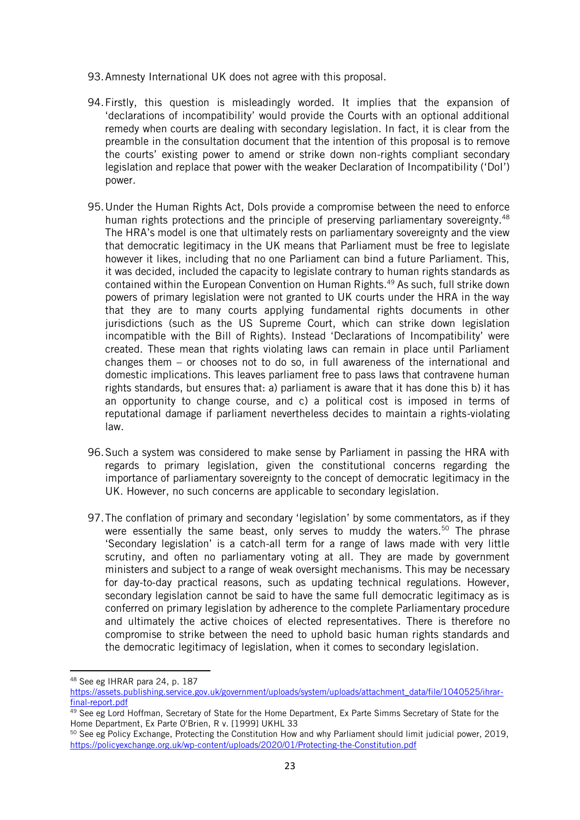- 93.Amnesty International UK does not agree with this proposal.
- 94.Firstly, this question is misleadingly worded. It implies that the expansion of 'declarations of incompatibility' would provide the Courts with an optional additional remedy when courts are dealing with secondary legislation. In fact, it is clear from the preamble in the consultation document that the intention of this proposal is to remove the courts' existing power to amend or strike down non-rights compliant secondary legislation and replace that power with the weaker Declaration of Incompatibility ('DoI') power.
- 95.Under the Human Rights Act, DoIs provide a compromise between the need to enforce human rights protections and the principle of preserving parliamentary sovereignty.<sup>48</sup> The HRA's model is one that ultimately rests on parliamentary sovereignty and the view that democratic legitimacy in the UK means that Parliament must be free to legislate however it likes, including that no one Parliament can bind a future Parliament. This, it was decided, included the capacity to legislate contrary to human rights standards as contained within the European Convention on Human Rights.<sup>49</sup> As such, full strike down powers of primary legislation were not granted to UK courts under the HRA in the way that they are to many courts applying fundamental rights documents in other jurisdictions (such as the US Supreme Court, which can strike down legislation incompatible with the Bill of Rights). Instead 'Declarations of Incompatibility' were created. These mean that rights violating laws can remain in place until Parliament changes them – or chooses not to do so, in full awareness of the international and domestic implications. This leaves parliament free to pass laws that contravene human rights standards, but ensures that: a) parliament is aware that it has done this b) it has an opportunity to change course, and c) a political cost is imposed in terms of reputational damage if parliament nevertheless decides to maintain a rights-violating law.
- 96.Such a system was considered to make sense by Parliament in passing the HRA with regards to primary legislation, given the constitutional concerns regarding the importance of parliamentary sovereignty to the concept of democratic legitimacy in the UK. However, no such concerns are applicable to secondary legislation.
- 97.The conflation of primary and secondary 'legislation' by some commentators, as if they were essentially the same beast, only serves to muddy the waters.<sup>50</sup> The phrase 'Secondary legislation' is a catch-all term for a range of laws made with very little scrutiny, and often no parliamentary voting at all. They are made by government ministers and subject to a range of weak oversight mechanisms. This may be necessary for day-to-day practical reasons, such as updating technical regulations. However, secondary legislation cannot be said to have the same full democratic legitimacy as is conferred on primary legislation by adherence to the complete Parliamentary procedure and ultimately the active choices of elected representatives. There is therefore no compromise to strike between the need to uphold basic human rights standards and the democratic legitimacy of legislation, when it comes to secondary legislation.

<sup>48</sup> See eg IHRAR para 24, p. 187

[https://assets.publishing.service.gov.uk/government/uploads/system/uploads/attachment\\_data/file/1040525/ihrar](https://assets.publishing.service.gov.uk/government/uploads/system/uploads/attachment_data/file/1040525/ihrar-final-report.pdf)[final-report.pdf](https://assets.publishing.service.gov.uk/government/uploads/system/uploads/attachment_data/file/1040525/ihrar-final-report.pdf)

<sup>&</sup>lt;sup>49</sup> See eg Lord Hoffman, Secretary of State for the Home Department, Ex Parte Simms Secretary of State for the Home Department, Ex Parte O'Brien, R v. [1999] UKHL 33

<sup>50</sup> See eg Policy Exchange, Protecting the Constitution How and why Parliament should limit judicial power, 2019, <https://policyexchange.org.uk/wp-content/uploads/2020/01/Protecting-the-Constitution.pdf>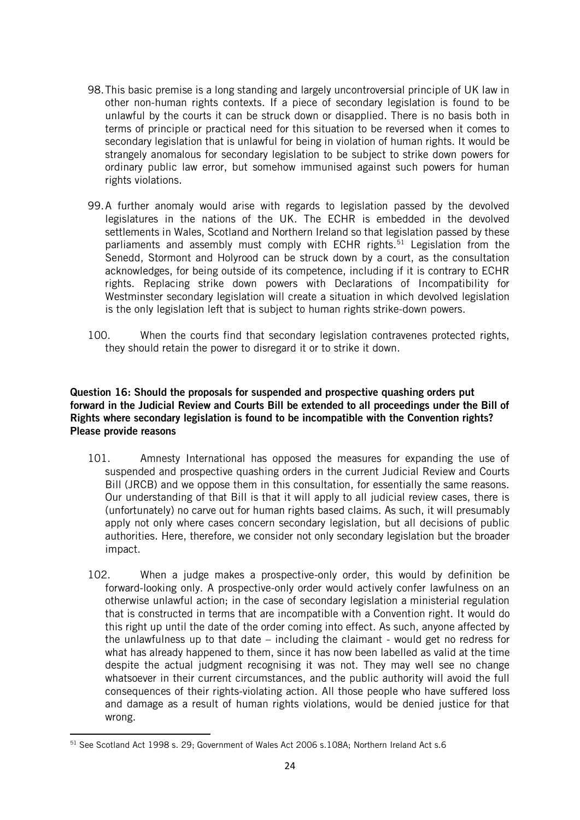- 98.This basic premise is a long standing and largely uncontroversial principle of UK law in other non-human rights contexts. If a piece of secondary legislation is found to be unlawful by the courts it can be struck down or disapplied. There is no basis both in terms of principle or practical need for this situation to be reversed when it comes to secondary legislation that is unlawful for being in violation of human rights. It would be strangely anomalous for secondary legislation to be subject to strike down powers for ordinary public law error, but somehow immunised against such powers for human rights violations.
- 99.A further anomaly would arise with regards to legislation passed by the devolved legislatures in the nations of the UK. The ECHR is embedded in the devolved settlements in Wales, Scotland and Northern Ireland so that legislation passed by these parliaments and assembly must comply with ECHR rights.<sup>51</sup> Legislation from the Senedd, Stormont and Holyrood can be struck down by a court, as the consultation acknowledges, for being outside of its competence, including if it is contrary to ECHR rights. Replacing strike down powers with Declarations of Incompatibility for Westminster secondary legislation will create a situation in which devolved legislation is the only legislation left that is subject to human rights strike-down powers.
- 100. When the courts find that secondary legislation contravenes protected rights, they should retain the power to disregard it or to strike it down.

## Question 16: Should the proposals for suspended and prospective quashing orders put forward in the Judicial Review and Courts Bill be extended to all proceedings under the Bill of Rights where secondary legislation is found to be incompatible with the Convention rights? Please provide reasons

- 101. Amnesty International has opposed the measures for expanding the use of suspended and prospective quashing orders in the current Judicial Review and Courts Bill (JRCB) and we oppose them in this consultation, for essentially the same reasons. Our understanding of that Bill is that it will apply to all judicial review cases, there is (unfortunately) no carve out for human rights based claims. As such, it will presumably apply not only where cases concern secondary legislation, but all decisions of public authorities. Here, therefore, we consider not only secondary legislation but the broader impact.
- 102. When a judge makes a prospective-only order, this would by definition be forward-looking only. A prospective-only order would actively confer lawfulness on an otherwise unlawful action; in the case of secondary legislation a ministerial regulation that is constructed in terms that are incompatible with a Convention right. It would do this right up until the date of the order coming into effect. As such, anyone affected by the unlawfulness up to that date – including the claimant - would get no redress for what has already happened to them, since it has now been labelled as valid at the time despite the actual judgment recognising it was not. They may well see no change whatsoever in their current circumstances, and the public authority will avoid the full consequences of their rights-violating action. All those people who have suffered loss and damage as a result of human rights violations, would be denied justice for that wrong.

<sup>51</sup> See Scotland Act 1998 s. 29; Government of Wales Act 2006 s.108A; Northern Ireland Act s.6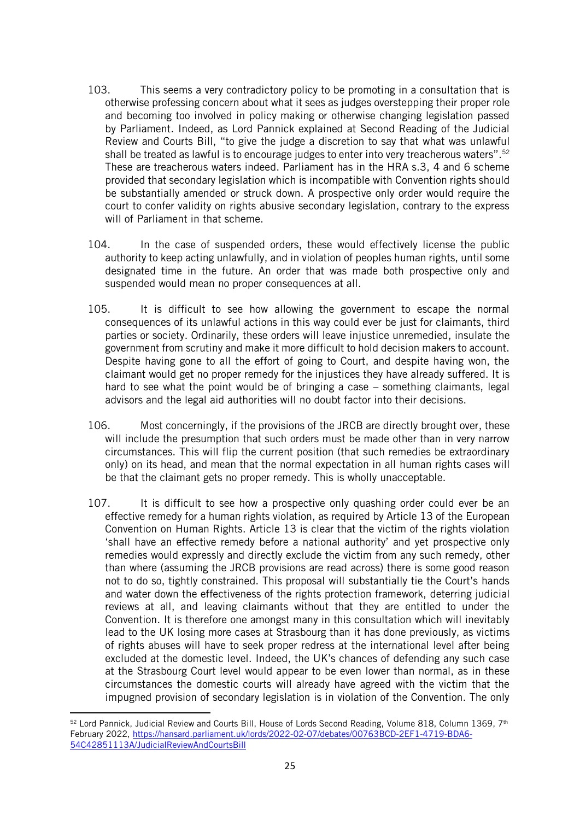- 103. This seems a very contradictory policy to be promoting in a consultation that is otherwise professing concern about what it sees as judges overstepping their proper role and becoming too involved in policy making or otherwise changing legislation passed by Parliament. Indeed, as Lord Pannick explained at Second Reading of the Judicial Review and Courts Bill, "to give the judge a discretion to say that what was unlawful shall be treated as lawful is to encourage judges to enter into very treacherous waters".<sup>52</sup> These are treacherous waters indeed. Parliament has in the HRA s.3, 4 and 6 scheme provided that secondary legislation which is incompatible with Convention rights should be substantially amended or struck down. A prospective only order would require the court to confer validity on rights abusive secondary legislation, contrary to the express will of Parliament in that scheme.
- 104. In the case of suspended orders, these would effectively license the public authority to keep acting unlawfully, and in violation of peoples human rights, until some designated time in the future. An order that was made both prospective only and suspended would mean no proper consequences at all.
- 105. It is difficult to see how allowing the government to escape the normal consequences of its unlawful actions in this way could ever be just for claimants, third parties or society. Ordinarily, these orders will leave injustice unremedied, insulate the government from scrutiny and make it more difficult to hold decision makers to account. Despite having gone to all the effort of going to Court, and despite having won, the claimant would get no proper remedy for the injustices they have already suffered. It is hard to see what the point would be of bringing a case – something claimants, legal advisors and the legal aid authorities will no doubt factor into their decisions.
- 106. Most concerningly, if the provisions of the JRCB are directly brought over, these will include the presumption that such orders must be made other than in very narrow circumstances. This will flip the current position (that such remedies be extraordinary only) on its head, and mean that the normal expectation in all human rights cases will be that the claimant gets no proper remedy. This is wholly unacceptable.
- 107. It is difficult to see how a prospective only quashing order could ever be an effective remedy for a human rights violation, as required by Article 13 of the European Convention on Human Rights. Article 13 is clear that the victim of the rights violation 'shall have an effective remedy before a national authority' and yet prospective only remedies would expressly and directly exclude the victim from any such remedy, other than where (assuming the JRCB provisions are read across) there is some good reason not to do so, tightly constrained. This proposal will substantially tie the Court's hands and water down the effectiveness of the rights protection framework, deterring judicial reviews at all, and leaving claimants without that they are entitled to under the Convention. It is therefore one amongst many in this consultation which will inevitably lead to the UK losing more cases at Strasbourg than it has done previously, as victims of rights abuses will have to seek proper redress at the international level after being excluded at the domestic level. Indeed, the UK's chances of defending any such case at the Strasbourg Court level would appear to be even lower than normal, as in these circumstances the domestic courts will already have agreed with the victim that the impugned provision of secondary legislation is in violation of the Convention. The only

<sup>&</sup>lt;sup>52</sup> Lord Pannick, Judicial Review and Courts Bill, House of Lords Second Reading, Volume 818, Column 1369, 7<sup>th</sup> February 2022, [https://hansard.parliament.uk/lords/2022-02-07/debates/00763BCD-2EF1-4719-BDA6-](https://hansard.parliament.uk/lords/2022-02-07/debates/00763BCD-2EF1-4719-BDA6-54C42851113A/JudicialReviewAndCourtsBill) [54C42851113A/JudicialReviewAndCourtsBill](https://hansard.parliament.uk/lords/2022-02-07/debates/00763BCD-2EF1-4719-BDA6-54C42851113A/JudicialReviewAndCourtsBill)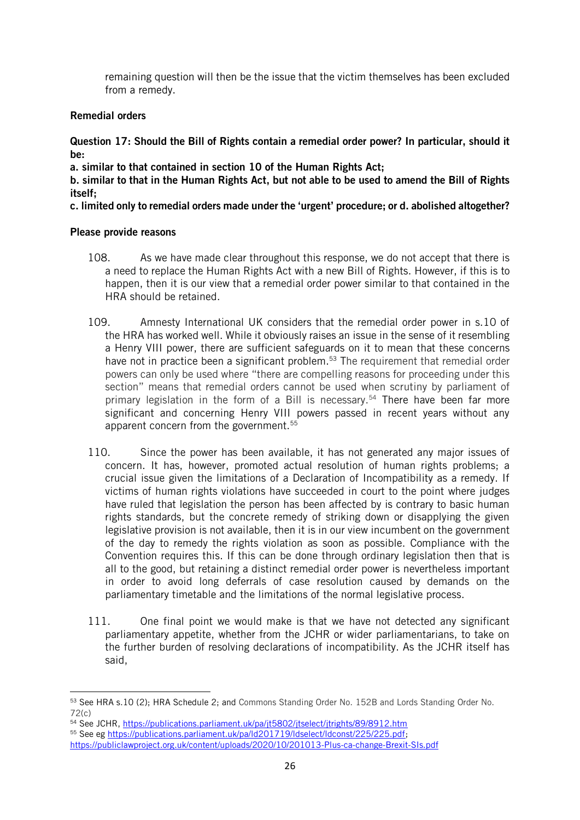remaining question will then be the issue that the victim themselves has been excluded from a remedy.

# Remedial orders

Question 17: Should the Bill of Rights contain a remedial order power? In particular, should it be:

a. similar to that contained in section 10 of the Human Rights Act;

b. similar to that in the Human Rights Act, but not able to be used to amend the Bill of Rights itself;

c. limited only to remedial orders made under the 'urgent' procedure; or d. abolished altogether?

# Please provide reasons

- 108. As we have made clear throughout this response, we do not accept that there is a need to replace the Human Rights Act with a new Bill of Rights. However, if this is to happen, then it is our view that a remedial order power similar to that contained in the HRA should be retained.
- 109. Amnesty International UK considers that the remedial order power in s.10 of the HRA has worked well. While it obviously raises an issue in the sense of it resembling a Henry VIII power, there are sufficient safeguards on it to mean that these concerns have not in practice been a significant problem.<sup>53</sup> The requirement that remedial order powers can only be used where "there are compelling reasons for proceeding under this section" means that remedial orders cannot be used when scrutiny by parliament of primary legislation in the form of a Bill is necessary.<sup>54</sup> There have been far more significant and concerning Henry VIII powers passed in recent years without any apparent concern from the government.<sup>55</sup>
- 110. Since the power has been available, it has not generated any major issues of concern. It has, however, promoted actual resolution of human rights problems; a crucial issue given the limitations of a Declaration of Incompatibility as a remedy. If victims of human rights violations have succeeded in court to the point where judges have ruled that legislation the person has been affected by is contrary to basic human rights standards, but the concrete remedy of striking down or disapplying the given legislative provision is not available, then it is in our view incumbent on the government of the day to remedy the rights violation as soon as possible. Compliance with the Convention requires this. If this can be done through ordinary legislation then that is all to the good, but retaining a distinct remedial order power is nevertheless important in order to avoid long deferrals of case resolution caused by demands on the parliamentary timetable and the limitations of the normal legislative process.
- 111. One final point we would make is that we have not detected any significant parliamentary appetite, whether from the JCHR or wider parliamentarians, to take on the further burden of resolving declarations of incompatibility. As the JCHR itself has said,

<sup>53</sup> See HRA s.10 (2); HRA Schedule 2; and Commons Standing Order No. 152B and Lords Standing Order No. 72(c)

<sup>&</sup>lt;sup>54</sup> See JCHR,<https://publications.parliament.uk/pa/jt5802/jtselect/jtrights/89/8912.htm>

<sup>55</sup> See eg [https://publications.parliament.uk/pa/ld201719/ldselect/ldconst/225/225.pdf;](https://publications.parliament.uk/pa/ld201719/ldselect/ldconst/225/225.pdf) <https://publiclawproject.org.uk/content/uploads/2020/10/201013-Plus-ca-change-Brexit-SIs.pdf>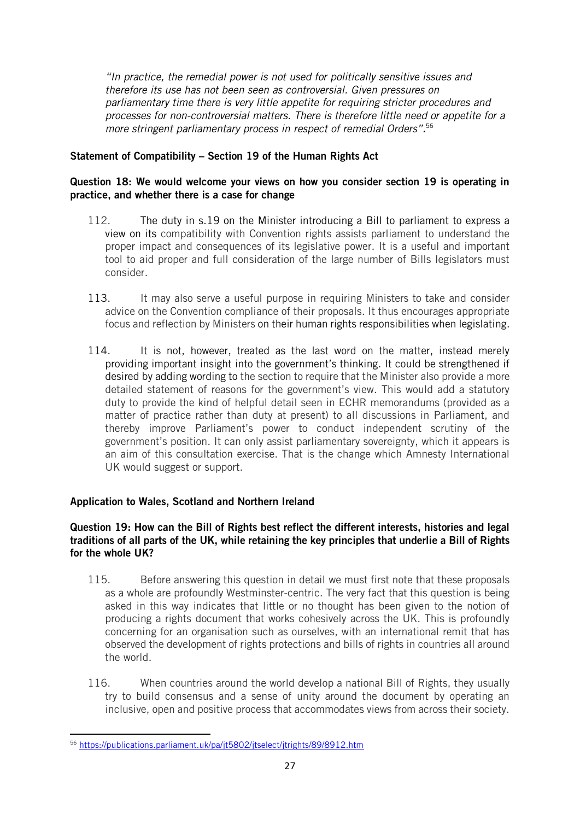*"In practice, the remedial power is not used for politically sensitive issues and therefore its use has not been seen as controversial. Given pressures on parliamentary time there is very little appetite for requiring stricter procedures and processes for non-controversial matters. There is therefore little need or appetite for a more stringent parliamentary process in respect of remedial Orders".* 56

# Statement of Compatibility – Section 19 of the Human Rights Act

## Question 18: We would welcome your views on how you consider section 19 is operating in practice, and whether there is a case for change

- 112. The duty in s.19 on the Minister introducing a Bill to parliament to express a view on its compatibility with Convention rights assists parliament to understand the proper impact and consequences of its legislative power. It is a useful and important tool to aid proper and full consideration of the large number of Bills legislators must consider.
- 113. It may also serve a useful purpose in requiring Ministers to take and consider advice on the Convention compliance of their proposals. It thus encourages appropriate focus and reflection by Ministers on their human rights responsibilities when legislating.
- 114. It is not, however, treated as the last word on the matter, instead merely providing important insight into the government's thinking. It could be strengthened if desired by adding wording to the section to require that the Minister also provide a more detailed statement of reasons for the government's view. This would add a statutory duty to provide the kind of helpful detail seen in ECHR memorandums (provided as a matter of practice rather than duty at present) to all discussions in Parliament, and thereby improve Parliament's power to conduct independent scrutiny of the government's position. It can only assist parliamentary sovereignty, which it appears is an aim of this consultation exercise. That is the change which Amnesty International UK would suggest or support.

# Application to Wales, Scotland and Northern Ireland

## Question 19: How can the Bill of Rights best reflect the different interests, histories and legal traditions of all parts of the UK, while retaining the key principles that underlie a Bill of Rights for the whole UK?

- 115. Before answering this question in detail we must first note that these proposals as a whole are profoundly Westminster-centric. The very fact that this question is being asked in this way indicates that little or no thought has been given to the notion of producing a rights document that works cohesively across the UK. This is profoundly concerning for an organisation such as ourselves, with an international remit that has observed the development of rights protections and bills of rights in countries all around the world.
- 116. When countries around the world develop a national Bill of Rights, they usually try to build consensus and a sense of unity around the document by operating an inclusive, open and positive process that accommodates views from across their society.

<sup>56</sup> <https://publications.parliament.uk/pa/jt5802/jtselect/jtrights/89/8912.htm>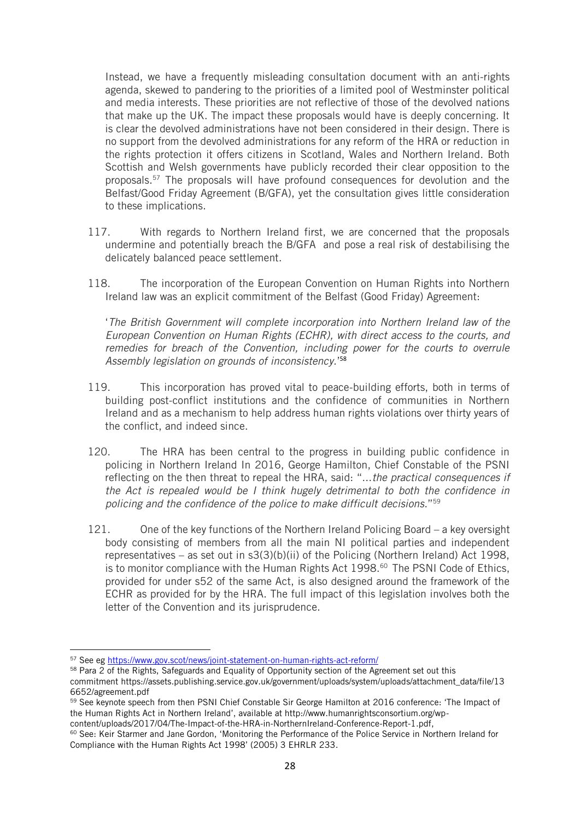Instead, we have a frequently misleading consultation document with an anti-rights agenda, skewed to pandering to the priorities of a limited pool of Westminster political and media interests. These priorities are not reflective of those of the devolved nations that make up the UK. The impact these proposals would have is deeply concerning. It is clear the devolved administrations have not been considered in their design. There is no support from the devolved administrations for any reform of the HRA or reduction in the rights protection it offers citizens in Scotland, Wales and Northern Ireland. Both Scottish and Welsh governments have publicly recorded their clear opposition to the proposals.<sup>57</sup> The proposals will have profound consequences for devolution and the Belfast/Good Friday Agreement (B/GFA), yet the consultation gives little consideration to these implications.

- 117. With regards to Northern Ireland first, we are concerned that the proposals undermine and potentially breach the B/GFA and pose a real risk of destabilising the delicately balanced peace settlement.
- 118. The incorporation of the European Convention on Human Rights into Northern Ireland law was an explicit commitment of the Belfast (Good Friday) Agreement:

'*The British Government will complete incorporation into Northern Ireland law of the European Convention on Human Rights (ECHR), with direct access to the courts, and remedies for breach of the Convention, including power for the courts to overrule Assembly legislation on grounds of inconsistency.*' 58

- 119. This incorporation has proved vital to peace-building efforts, both in terms of building post-conflict institutions and the confidence of communities in Northern Ireland and as a mechanism to help address human rights violations over thirty years of the conflict, and indeed since.
- 120. The HRA has been central to the progress in building public confidence in policing in Northern Ireland In 2016, George Hamilton, Chief Constable of the PSNI reflecting on the then threat to repeal the HRA, said: "...*the practical consequences if the Act is repealed would be I think hugely detrimental to both the confidence in policing and the confidence of the police to make difficult decisions*."<sup>59</sup>
- 121. One of the key functions of the Northern Ireland Policing Board a key oversight body consisting of members from all the main NI political parties and independent representatives – as set out in  $s3(3)(b)(ii)$  of the Policing (Northern Ireland) Act 1998, is to monitor compliance with the Human Rights Act 1998.<sup>60</sup> The PSNI Code of Ethics, provided for under s52 of the same Act, is also designed around the framework of the ECHR as provided for by the HRA. The full impact of this legislation involves both the letter of the Convention and its jurisprudence.

<sup>57</sup> See eg<https://www.gov.scot/news/joint-statement-on-human-rights-act-reform/>

<sup>&</sup>lt;sup>58</sup> Para 2 of the Rights, Safeguards and Equality of Opportunity section of the Agreement set out this commitment https://assets.publishing.service.gov.uk/government/uploads/system/uploads/attachment\_data/file/13 6652/agreement.pdf

<sup>&</sup>lt;sup>59</sup> See keynote speech from then PSNI Chief Constable Sir George Hamilton at 2016 conference: 'The Impact of the Human Rights Act in Northern Ireland', available at http://www.humanrightsconsortium.org/wpcontent/uploads/2017/04/The-Impact-of-the-HRA-in-NorthernIreland-Conference-Report-1.pdf,

<sup>60</sup> See: Keir Starmer and Jane Gordon, 'Monitoring the Performance of the Police Service in Northern Ireland for Compliance with the Human Rights Act 1998' (2005) 3 EHRLR 233.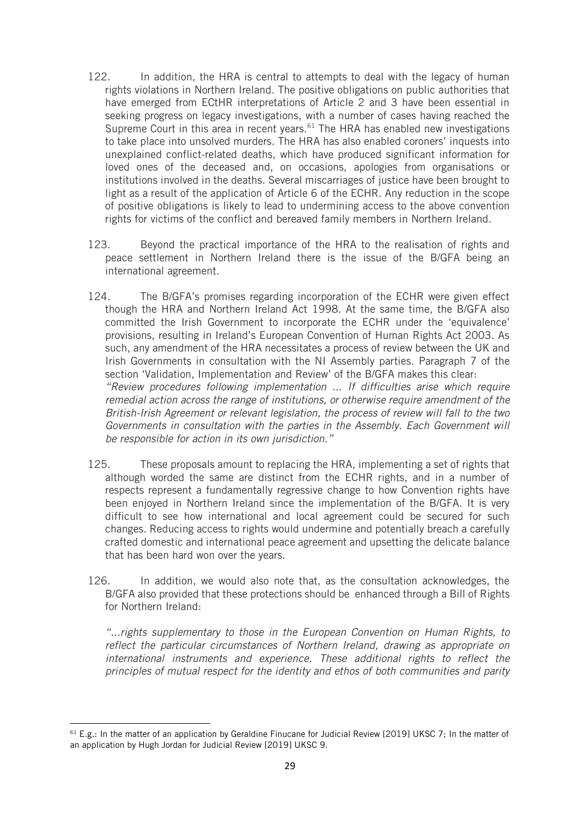- 122. In addition, the HRA is central to attempts to deal with the legacy of human rights violations in Northern Ireland. The positive obligations on public authorities that have emerged from ECtHR interpretations of Article 2 and 3 have been essential in seeking progress on legacy investigations, with a number of cases having reached the Supreme Court in this area in recent years.<sup>61</sup> The HRA has enabled new investigations to take place into unsolved murders. The HRA has also enabled coroners' inquests into unexplained conflict-related deaths, which have produced significant information for loved ones of the deceased and, on occasions, apologies from organisations or institutions involved in the deaths. Several miscarriages of justice have been brought to light as a result of the application of Article 6 of the ECHR. Any reduction in the scope of positive obligations is likely to lead to undermining access to the above convention rights for victims of the conflict and bereaved family members in Northern Ireland.
- 123. Beyond the practical importance of the HRA to the realisation of rights and peace settlement in Northern Ireland there is the issue of the B/GFA being an international agreement.
- 124. The B/GFA's promises regarding incorporation of the ECHR were given effect though the HRA and Northern Ireland Act 1998. At the same time, the B/GFA also committed the Irish Government to incorporate the ECHR under the 'equivalence' provisions, resulting in Ireland's European Convention of Human Rights Act 2003. As such, any amendment of the HRA necessitates a process of review between the UK and Irish Governments in consultation with the NI Assembly parties. Paragraph 7 of the section 'Validation, Implementation and Review' of the B/GFA makes this clear: *"Review procedures following implementation ... If difficulties arise which require remedial action across the range of institutions, or otherwise require amendment of the British-Irish Agreement or relevant legislation, the process of review will fall to the two Governments in consultation with the parties in the Assembly. Each Government will be responsible for action in its own jurisdiction."*
- 125. These proposals amount to replacing the HRA, implementing a set of rights that although worded the same are distinct from the ECHR rights, and in a number of respects represent a fundamentally regressive change to how Convention rights have been enjoyed in Northern Ireland since the implementation of the B/GFA. It is very difficult to see how international and local agreement could be secured for such changes. Reducing access to rights would undermine and potentially breach a carefully crafted domestic and international peace agreement and upsetting the delicate balance that has been hard won over the years.
- 126. In addition, we would also note that, as the consultation acknowledges, the B/GFA also provided that these protections should be enhanced through a Bill of Rights for Northern Ireland:

*"...rights supplementary to those in the European Convention on Human Rights, to reflect the particular circumstances of Northern Ireland, drawing as appropriate on international instruments and experience. These additional rights to reflect the principles of mutual respect for the identity and ethos of both communities and parity* 

 $61$  E.g.: In the matter of an application by Geraldine Finucane for Judicial Review [2019] UKSC 7; In the matter of an application by Hugh Jordan for Judicial Review [2019] UKSC 9.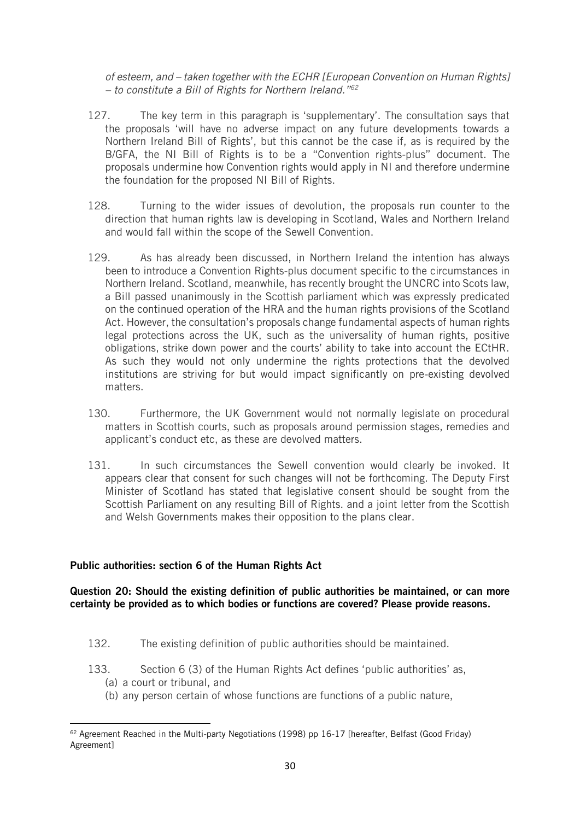*of esteem, and – taken together with the ECHR [European Convention on Human Rights] – to constitute a Bill of Rights for Northern Ireland."<sup>62</sup>*

- 127. The key term in this paragraph is 'supplementary'. The consultation says that the proposals 'will have no adverse impact on any future developments towards a Northern Ireland Bill of Rights', but this cannot be the case if, as is required by the B/GFA, the NI Bill of Rights is to be a "Convention rights-plus" document. The proposals undermine how Convention rights would apply in NI and therefore undermine the foundation for the proposed NI Bill of Rights.
- 128. Turning to the wider issues of devolution, the proposals run counter to the direction that human rights law is developing in Scotland, Wales and Northern Ireland and would fall within the scope of the Sewell Convention.
- 129. As has already been discussed, in Northern Ireland the intention has always been to introduce a Convention Rights-plus document specific to the circumstances in Northern Ireland. Scotland, meanwhile, has recently brought the UNCRC into Scots law, a Bill passed unanimously in the Scottish parliament which was expressly predicated on the continued operation of the HRA and the human rights provisions of the Scotland Act. However, the consultation's proposals change fundamental aspects of human rights legal protections across the UK, such as the universality of human rights, positive obligations, strike down power and the courts' ability to take into account the ECtHR. As such they would not only undermine the rights protections that the devolved institutions are striving for but would impact significantly on pre-existing devolved matters.
- 130. Furthermore, the UK Government would not normally legislate on procedural matters in Scottish courts, such as proposals around permission stages, remedies and applicant's conduct etc, as these are devolved matters.
- 131. In such circumstances the Sewell convention would clearly be invoked. It appears clear that consent for such changes will not be forthcoming. The Deputy First Minister of Scotland has stated that legislative consent should be sought from the Scottish Parliament on any resulting Bill of Rights. and a joint letter from the Scottish and Welsh Governments makes their opposition to the plans clear.

#### Public authorities: section 6 of the Human Rights Act

#### Question 20: Should the existing definition of public authorities be maintained, or can more certainty be provided as to which bodies or functions are covered? Please provide reasons.

- 132. The existing definition of public authorities should be maintained.
- 133. Section 6 (3) of the Human Rights Act defines 'public authorities' as,
	- (a) a court or tribunal, and
	- (b) any person certain of whose functions are functions of a public nature,

<sup>&</sup>lt;sup>62</sup> Agreement Reached in the Multi-party Negotiations (1998) pp 16-17 [hereafter, Belfast (Good Friday) Agreement]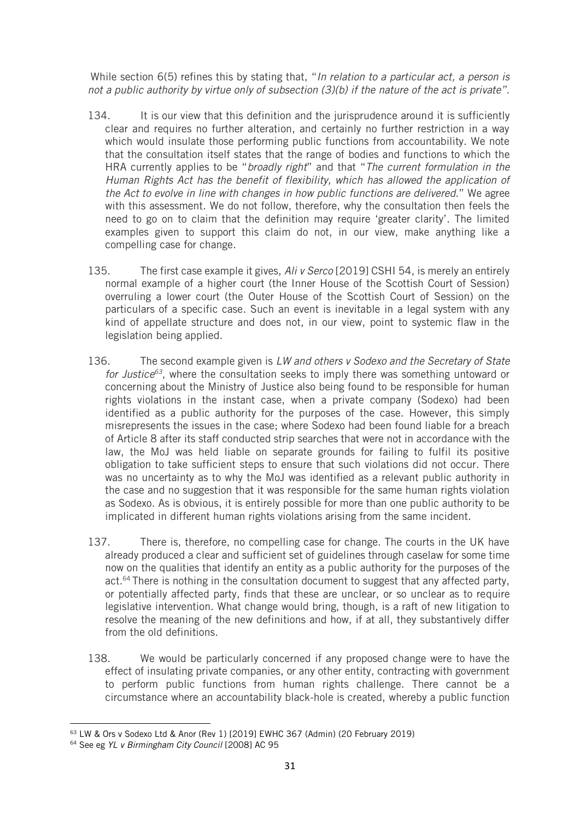While section 6(5) refines this by stating that, "*In relation to a particular act, a person is not a public authority by virtue only of subsection (3)(b) if the nature of the act is private".*

- 134. It is our view that this definition and the jurisprudence around it is sufficiently clear and requires no further alteration, and certainly no further restriction in a way which would insulate those performing public functions from accountability. We note that the consultation itself states that the range of bodies and functions to which the HRA currently applies to be "*broadly right*" and that "*The current formulation in the Human Rights Act has the benefit of flexibility, which has allowed the application of the Act to evolve in line with changes in how public functions are delivered*." We agree with this assessment. We do not follow, therefore, why the consultation then feels the need to go on to claim that the definition may require 'greater clarity'. The limited examples given to support this claim do not, in our view, make anything like a compelling case for change.
- 135. The first case example it gives, *Ali v Serco* [2019] CSHI 54, is merely an entirely normal example of a higher court (the Inner House of the Scottish Court of Session) overruling a lower court (the Outer House of the Scottish Court of Session) on the particulars of a specific case. Such an event is inevitable in a legal system with any kind of appellate structure and does not, in our view, point to systemic flaw in the legislation being applied.
- 136. The second example given is *LW and others v Sodexo and the Secretary of State for Justice<sup>63</sup>*, where the consultation seeks to imply there was something untoward or concerning about the Ministry of Justice also being found to be responsible for human rights violations in the instant case, when a private company (Sodexo) had been identified as a public authority for the purposes of the case. However, this simply misrepresents the issues in the case; where Sodexo had been found liable for a breach of Article 8 after its staff conducted strip searches that were not in accordance with the law, the MoJ was held liable on separate grounds for failing to fulfil its positive obligation to take sufficient steps to ensure that such violations did not occur. There was no uncertainty as to why the MoJ was identified as a relevant public authority in the case and no suggestion that it was responsible for the same human rights violation as Sodexo. As is obvious, it is entirely possible for more than one public authority to be implicated in different human rights violations arising from the same incident.
- 137. There is, therefore, no compelling case for change. The courts in the UK have already produced a clear and sufficient set of guidelines through caselaw for some time now on the qualities that identify an entity as a public authority for the purposes of the act.<sup>64</sup> There is nothing in the consultation document to suggest that any affected party, or potentially affected party, finds that these are unclear, or so unclear as to require legislative intervention. What change would bring, though, is a raft of new litigation to resolve the meaning of the new definitions and how, if at all, they substantively differ from the old definitions.
- 138. We would be particularly concerned if any proposed change were to have the effect of insulating private companies, or any other entity, contracting with government to perform public functions from human rights challenge. There cannot be a circumstance where an accountability black-hole is created, whereby a public function

<sup>63</sup> LW & Ors v Sodexo Ltd & Anor (Rev 1) [2019] EWHC 367 (Admin) (20 February 2019)

<sup>64</sup> See eg *YL v Birmingham City Council* [2008] AC 95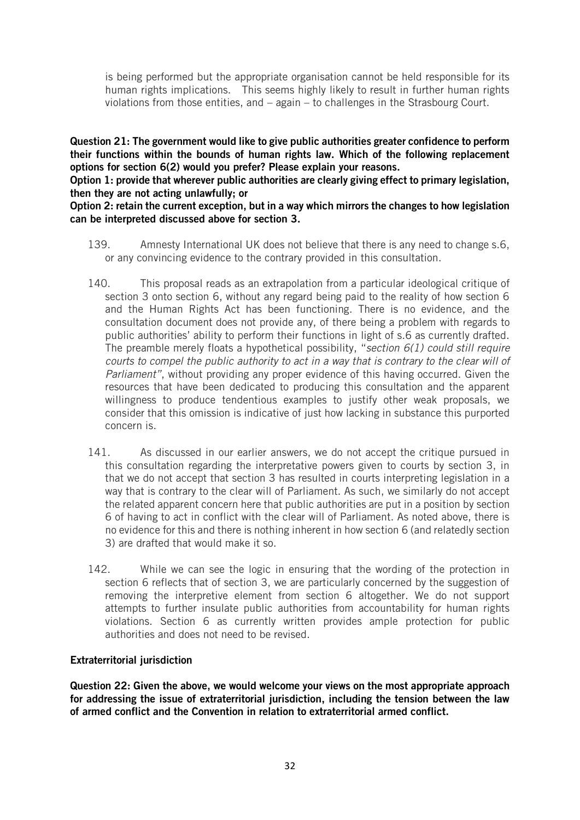is being performed but the appropriate organisation cannot be held responsible for its human rights implications. This seems highly likely to result in further human rights violations from those entities, and – again – to challenges in the Strasbourg Court.

Question 21: The government would like to give public authorities greater confidence to perform their functions within the bounds of human rights law. Which of the following replacement options for section 6(2) would you prefer? Please explain your reasons.

Option 1: provide that wherever public authorities are clearly giving effect to primary legislation, then they are not acting unlawfully; or

#### Option 2: retain the current exception, but in a way which mirrors the changes to how legislation can be interpreted discussed above for section 3.

- 139. Amnesty International UK does not believe that there is any need to change s.6, or any convincing evidence to the contrary provided in this consultation.
- 140. This proposal reads as an extrapolation from a particular ideological critique of section 3 onto section 6, without any regard being paid to the reality of how section 6 and the Human Rights Act has been functioning. There is no evidence, and the consultation document does not provide any, of there being a problem with regards to public authorities' ability to perform their functions in light of s.6 as currently drafted. The preamble merely floats a hypothetical possibility, "*section 6(1) could still require courts to compel the public authority to act in a way that is contrary to the clear will of Parliament"*, without providing any proper evidence of this having occurred. Given the resources that have been dedicated to producing this consultation and the apparent willingness to produce tendentious examples to justify other weak proposals, we consider that this omission is indicative of just how lacking in substance this purported concern is.
- 141. As discussed in our earlier answers, we do not accept the critique pursued in this consultation regarding the interpretative powers given to courts by section 3, in that we do not accept that section 3 has resulted in courts interpreting legislation in a way that is contrary to the clear will of Parliament. As such, we similarly do not accept the related apparent concern here that public authorities are put in a position by section 6 of having to act in conflict with the clear will of Parliament. As noted above, there is no evidence for this and there is nothing inherent in how section 6 (and relatedly section 3) are drafted that would make it so.
- 142. While we can see the logic in ensuring that the wording of the protection in section 6 reflects that of section 3, we are particularly concerned by the suggestion of removing the interpretive element from section 6 altogether. We do not support attempts to further insulate public authorities from accountability for human rights violations. Section 6 as currently written provides ample protection for public authorities and does not need to be revised.

# Extraterritorial jurisdiction

Question 22: Given the above, we would welcome your views on the most appropriate approach for addressing the issue of extraterritorial jurisdiction, including the tension between the law of armed conflict and the Convention in relation to extraterritorial armed conflict.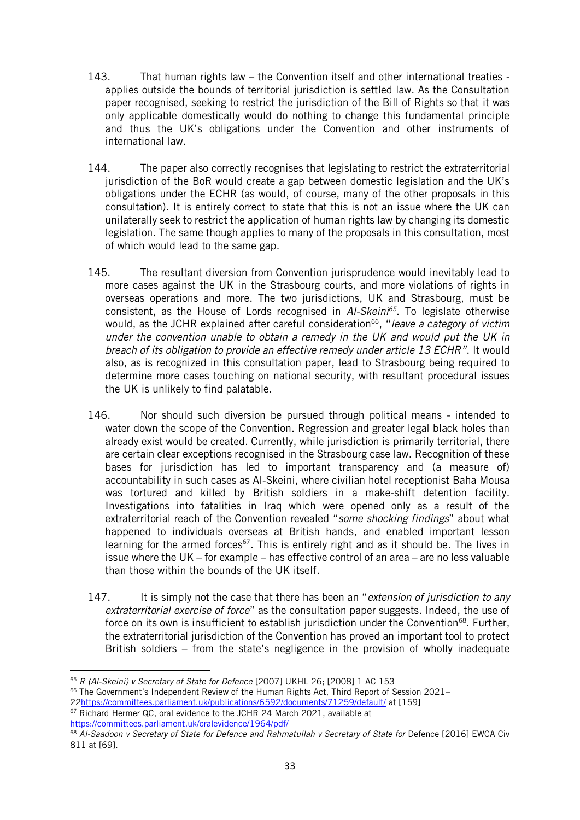- 143. That human rights law the Convention itself and other international treaties applies outside the bounds of territorial jurisdiction is settled law. As the Consultation paper recognised, seeking to restrict the jurisdiction of the Bill of Rights so that it was only applicable domestically would do nothing to change this fundamental principle and thus the UK's obligations under the Convention and other instruments of international law.
- 144. The paper also correctly recognises that legislating to restrict the extraterritorial jurisdiction of the BoR would create a gap between domestic legislation and the UK's obligations under the ECHR (as would, of course, many of the other proposals in this consultation). It is entirely correct to state that this is not an issue where the UK can unilaterally seek to restrict the application of human rights law by changing its domestic legislation. The same though applies to many of the proposals in this consultation, most of which would lead to the same gap.
- 145. The resultant diversion from Convention jurisprudence would inevitably lead to more cases against the UK in the Strasbourg courts, and more violations of rights in overseas operations and more. The two jurisdictions, UK and Strasbourg, must be consistent, as the House of Lords recognised in *Al-Skeini<sup>65</sup>*. To legislate otherwise would, as the JCHR explained after careful consideration<sup>66</sup>, "*leave a category of victim under the convention unable to obtain a remedy in the UK and would put the UK in breach of its obligation to provide an effective remedy under article 13 ECHR"*. It would also, as is recognized in this consultation paper, lead to Strasbourg being required to determine more cases touching on national security, with resultant procedural issues the UK is unlikely to find palatable.
- 146. Nor should such diversion be pursued through political means intended to water down the scope of the Convention. Regression and greater legal black holes than already exist would be created. Currently, while jurisdiction is primarily territorial, there are certain clear exceptions recognised in the Strasbourg case law. Recognition of these bases for jurisdiction has led to important transparency and (a measure of) accountability in such cases as Al-Skeini, where civilian hotel receptionist Baha Mousa was tortured and killed by British soldiers in a make-shift detention facility. Investigations into fatalities in Iraq which were opened only as a result of the extraterritorial reach of the Convention revealed "*some shocking findings*" about what happened to individuals overseas at British hands, and enabled important lesson learning for the armed forces<sup>67</sup>. This is entirely right and as it should be. The lives in issue where the UK – for example – has effective control of an area – are no less valuable than those within the bounds of the UK itself.
- 147. It is simply not the case that there has been an "*extension of jurisdiction to any extraterritorial exercise of force*" as the consultation paper suggests. Indeed, the use of force on its own is insufficient to establish jurisdiction under the Convention<sup>68</sup>. Further, the extraterritorial jurisdiction of the Convention has proved an important tool to protect British soldiers – from the state's negligence in the provision of wholly inadequate

<sup>65</sup> *R (Al-Skeini) v Secretary of State for Defence* [2007] UKHL 26; [2008] 1 AC 153

<sup>66</sup> The Government's Independent Review of the Human Rights Act, Third Report of Session 2021– 2[2https://committees.parliament.uk/publications/6592/documents/71259/default/](https://committees.parliament.uk/publications/6592/documents/71259/default/) at [159] <sup>67</sup> Richard Hermer QC, oral evidence to the JCHR 24 March 2021, available at <https://committees.parliament.uk/oralevidence/1964/pdf/>

<sup>68</sup> *Al-Saadoon v Secretary of State for Defence and Rahmatullah v Secretary of State for* Defence [2016] EWCA Civ 811 at [69].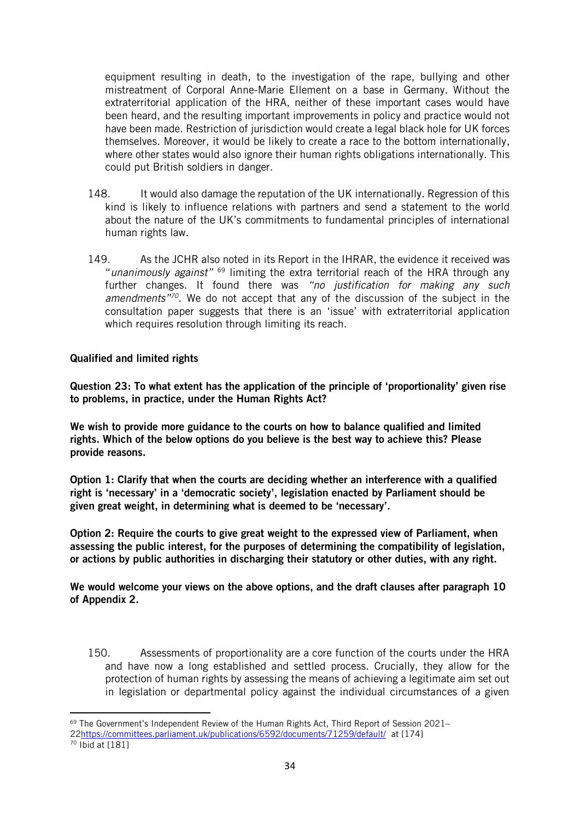equipment resulting in death, to the investigation of the rape, bullying and other mistreatment of Corporal Anne-Marie Ellement on a base in Germany. Without the extraterritorial application of the HRA, neither of these important cases would have been heard, and the resulting important improvements in policy and practice would not have been made. Restriction of jurisdiction would create a legal black hole for UK forces themselves. Moreover, it would be likely to create a race to the bottom internationally, where other states would also ignore their human rights obligations internationally. This could put British soldiers in danger.

- 148. It would also damage the reputation of the UK internationally. Regression of this kind is likely to influence relations with partners and send a statement to the world about the nature of the UK's commitments to fundamental principles of international human rights law.
- 149. As the JCHR also noted in its Report in the IHRAR, the evidence it received was "*unanimously against"* <sup>69</sup> limiting the extra territorial reach of the HRA through any further changes. It found there was *"no justification for making any such amendments"<sup>70</sup>*. We do not accept that any of the discussion of the subject in the consultation paper suggests that there is an 'issue' with extraterritorial application which requires resolution through limiting its reach.

Qualified and limited rights

Question 23: To what extent has the application of the principle of 'proportionality' given rise to problems, in practice, under the Human Rights Act?

We wish to provide more guidance to the courts on how to balance qualified and limited rights. Which of the below options do you believe is the best way to achieve this? Please provide reasons.

Option 1: Clarify that when the courts are deciding whether an interference with a qualified right is 'necessary' in a 'democratic society', legislation enacted by Parliament should be given great weight, in determining what is deemed to be 'necessary'.

Option 2: Require the courts to give great weight to the expressed view of Parliament, when assessing the public interest, for the purposes of determining the compatibility of legislation, or actions by public authorities in discharging their statutory or other duties, with any right.

We would welcome your views on the above options, and the draft clauses after paragraph 10 of Appendix 2.

150. Assessments of proportionality are a core function of the courts under the HRA and have now a long established and settled process. Crucially, they allow for the protection of human rights by assessing the means of achieving a legitimate aim set out in legislation or departmental policy against the individual circumstances of a given

 $69$  The Government's Independent Review of the Human Rights Act, Third Report of Session 2021–

<sup>2</sup>[2https://committees.parliament.uk/publications/6592/documents/71259/default/](https://committees.parliament.uk/publications/6592/documents/71259/default/) at [174]  $\frac{1}{70}$  Ibid at [181]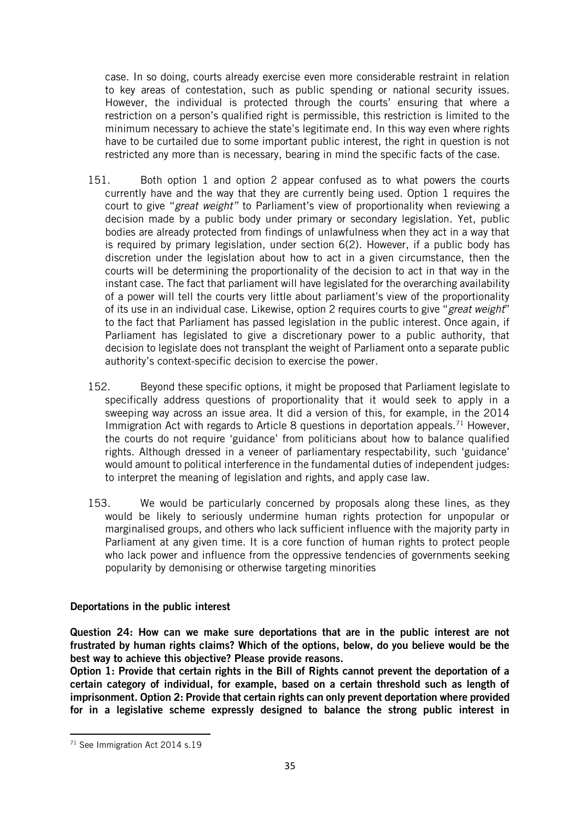case. In so doing, courts already exercise even more considerable restraint in relation to key areas of contestation, such as public spending or national security issues. However, the individual is protected through the courts' ensuring that where a restriction on a person's qualified right is permissible, this restriction is limited to the minimum necessary to achieve the state's legitimate end. In this way even where rights have to be curtailed due to some important public interest, the right in question is not restricted any more than is necessary, bearing in mind the specific facts of the case.

- 151. Both option 1 and option 2 appear confused as to what powers the courts currently have and the way that they are currently being used. Option 1 requires the court to give "*great weight"* to Parliament's view of proportionality when reviewing a decision made by a public body under primary or secondary legislation. Yet, public bodies are already protected from findings of unlawfulness when they act in a way that is required by primary legislation, under section 6(2). However, if a public body has discretion under the legislation about how to act in a given circumstance, then the courts will be determining the proportionality of the decision to act in that way in the instant case. The fact that parliament will have legislated for the overarching availability of a power will tell the courts very little about parliament's view of the proportionality of its use in an individual case. Likewise, option 2 requires courts to give "*great weight*" to the fact that Parliament has passed legislation in the public interest. Once again, if Parliament has legislated to give a discretionary power to a public authority, that decision to legislate does not transplant the weight of Parliament onto a separate public authority's context-specific decision to exercise the power.
- 152. Beyond these specific options, it might be proposed that Parliament legislate to specifically address questions of proportionality that it would seek to apply in a sweeping way across an issue area. It did a version of this, for example, in the 2014 Immigration Act with regards to Article 8 questions in deportation appeals.<sup>71</sup> However, the courts do not require 'guidance' from politicians about how to balance qualified rights. Although dressed in a veneer of parliamentary respectability, such 'guidance' would amount to political interference in the fundamental duties of independent judges: to interpret the meaning of legislation and rights, and apply case law.
- 153. We would be particularly concerned by proposals along these lines, as they would be likely to seriously undermine human rights protection for unpopular or marginalised groups, and others who lack sufficient influence with the majority party in Parliament at any given time. It is a core function of human rights to protect people who lack power and influence from the oppressive tendencies of governments seeking popularity by demonising or otherwise targeting minorities

# Deportations in the public interest

Question 24: How can we make sure deportations that are in the public interest are not frustrated by human rights claims? Which of the options, below, do you believe would be the best way to achieve this objective? Please provide reasons.

Option 1: Provide that certain rights in the Bill of Rights cannot prevent the deportation of a certain category of individual, for example, based on a certain threshold such as length of imprisonment. Option 2: Provide that certain rights can only prevent deportation where provided for in a legislative scheme expressly designed to balance the strong public interest in

<sup>71</sup> See Immigration Act 2014 s.19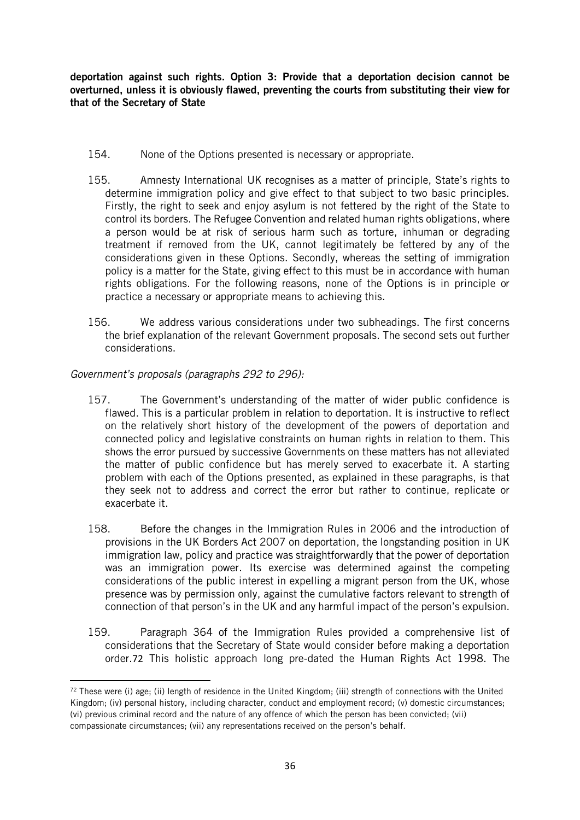deportation against such rights. Option 3: Provide that a deportation decision cannot be overturned, unless it is obviously flawed, preventing the courts from substituting their view for that of the Secretary of State

- 154. None of the Options presented is necessary or appropriate.
- 155. Amnesty International UK recognises as a matter of principle, State's rights to determine immigration policy and give effect to that subject to two basic principles. Firstly, the right to seek and enjoy asylum is not fettered by the right of the State to control its borders. The Refugee Convention and related human rights obligations, where a person would be at risk of serious harm such as torture, inhuman or degrading treatment if removed from the UK, cannot legitimately be fettered by any of the considerations given in these Options. Secondly, whereas the setting of immigration policy is a matter for the State, giving effect to this must be in accordance with human rights obligations. For the following reasons, none of the Options is in principle or practice a necessary or appropriate means to achieving this.
- 156. We address various considerations under two subheadings. The first concerns the brief explanation of the relevant Government proposals. The second sets out further considerations.

*Government's proposals (paragraphs 292 to 296):*

- 157. The Government's understanding of the matter of wider public confidence is flawed. This is a particular problem in relation to deportation. It is instructive to reflect on the relatively short history of the development of the powers of deportation and connected policy and legislative constraints on human rights in relation to them. This shows the error pursued by successive Governments on these matters has not alleviated the matter of public confidence but has merely served to exacerbate it. A starting problem with each of the Options presented, as explained in these paragraphs, is that they seek not to address and correct the error but rather to continue, replicate or exacerbate it.
- 158. Before the changes in the Immigration Rules in 2006 and the introduction of provisions in the UK Borders Act 2007 on deportation, the longstanding position in UK immigration law, policy and practice was straightforwardly that the power of deportation was an immigration power. Its exercise was determined against the competing considerations of the public interest in expelling a migrant person from the UK, whose presence was by permission only, against the cumulative factors relevant to strength of connection of that person's in the UK and any harmful impact of the person's expulsion.
- 159. Paragraph 364 of the Immigration Rules provided a comprehensive list of considerations that the Secretary of State would consider before making a deportation order.72 This holistic approach long pre-dated the Human Rights Act 1998. The

 $72$  These were (i) age; (ii) length of residence in the United Kingdom; (iii) strength of connections with the United Kingdom; (iv) personal history, including character, conduct and employment record; (v) domestic circumstances; (vi) previous criminal record and the nature of any offence of which the person has been convicted; (vii) compassionate circumstances; (vii) any representations received on the person's behalf.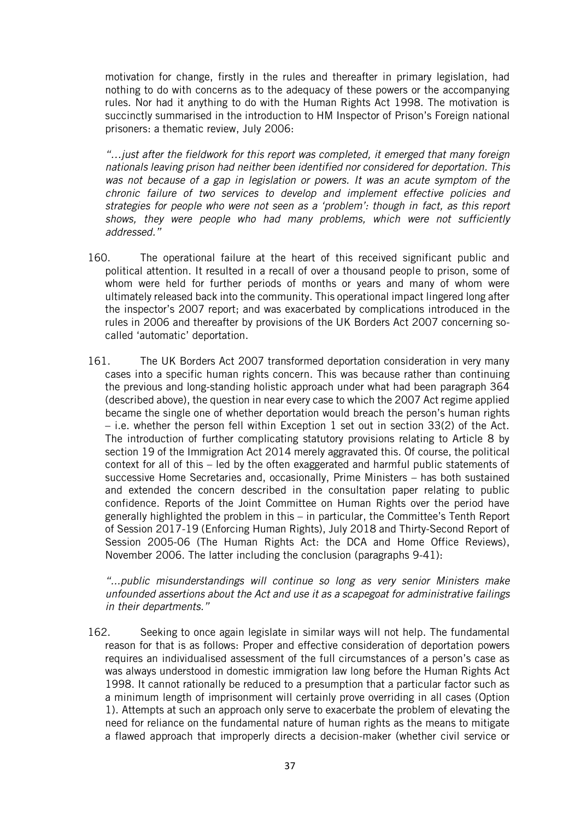motivation for change, firstly in the rules and thereafter in primary legislation, had nothing to do with concerns as to the adequacy of these powers or the accompanying rules. Nor had it anything to do with the Human Rights Act 1998. The motivation is succinctly summarised in the introduction to HM Inspector of Prison's Foreign national prisoners: a thematic review, July 2006:

*"…just after the fieldwork for this report was completed, it emerged that many foreign nationals leaving prison had neither been identified nor considered for deportation. This*  was not because of a gap in legislation or powers. It was an acute symptom of the *chronic failure of two services to develop and implement effective policies and strategies for people who were not seen as a 'problem': though in fact, as this report shows, they were people who had many problems, which were not sufficiently addressed."*

- 160. The operational failure at the heart of this received significant public and political attention. It resulted in a recall of over a thousand people to prison, some of whom were held for further periods of months or years and many of whom were ultimately released back into the community. This operational impact lingered long after the inspector's 2007 report; and was exacerbated by complications introduced in the rules in 2006 and thereafter by provisions of the UK Borders Act 2007 concerning socalled 'automatic' deportation.
- 161. The UK Borders Act 2007 transformed deportation consideration in very many cases into a specific human rights concern. This was because rather than continuing the previous and long-standing holistic approach under what had been paragraph 364 (described above), the question in near every case to which the 2007 Act regime applied became the single one of whether deportation would breach the person's human rights – i.e. whether the person fell within Exception 1 set out in section 33(2) of the Act. The introduction of further complicating statutory provisions relating to Article 8 by section 19 of the Immigration Act 2014 merely aggravated this. Of course, the political context for all of this – led by the often exaggerated and harmful public statements of successive Home Secretaries and, occasionally, Prime Ministers – has both sustained and extended the concern described in the consultation paper relating to public confidence. Reports of the Joint Committee on Human Rights over the period have generally highlighted the problem in this – in particular, the Committee's Tenth Report of Session 2017-19 (Enforcing Human Rights), July 2018 and Thirty-Second Report of Session 2005-06 (The Human Rights Act: the DCA and Home Office Reviews), November 2006. The latter including the conclusion (paragraphs 9-41):

*"...public misunderstandings will continue so long as very senior Ministers make unfounded assertions about the Act and use it as a scapegoat for administrative failings in their departments."*

162. Seeking to once again legislate in similar ways will not help. The fundamental reason for that is as follows: Proper and effective consideration of deportation powers requires an individualised assessment of the full circumstances of a person's case as was always understood in domestic immigration law long before the Human Rights Act 1998. It cannot rationally be reduced to a presumption that a particular factor such as a minimum length of imprisonment will certainly prove overriding in all cases (Option 1). Attempts at such an approach only serve to exacerbate the problem of elevating the need for reliance on the fundamental nature of human rights as the means to mitigate a flawed approach that improperly directs a decision-maker (whether civil service or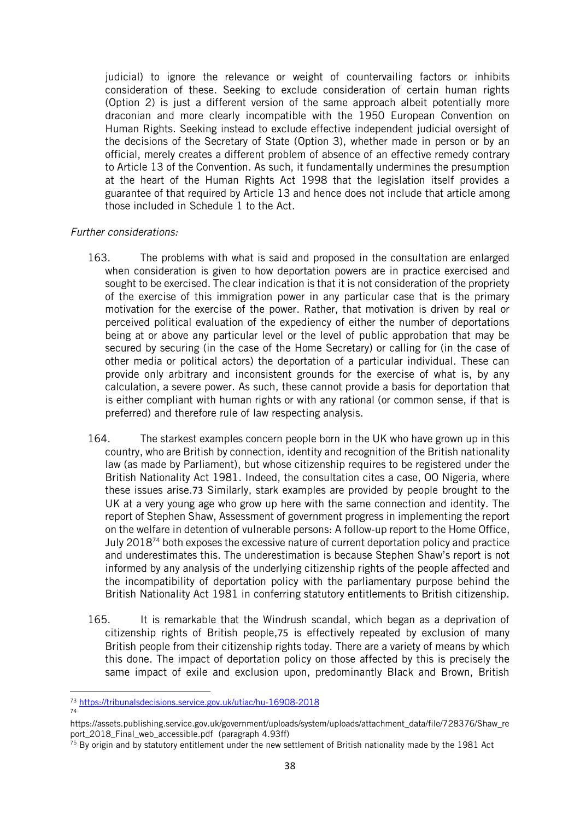judicial) to ignore the relevance or weight of countervailing factors or inhibits consideration of these. Seeking to exclude consideration of certain human rights (Option 2) is just a different version of the same approach albeit potentially more draconian and more clearly incompatible with the 1950 European Convention on Human Rights. Seeking instead to exclude effective independent judicial oversight of the decisions of the Secretary of State (Option 3), whether made in person or by an official, merely creates a different problem of absence of an effective remedy contrary to Article 13 of the Convention. As such, it fundamentally undermines the presumption at the heart of the Human Rights Act 1998 that the legislation itself provides a guarantee of that required by Article 13 and hence does not include that article among those included in Schedule 1 to the Act.

## *Further considerations:*

- 163. The problems with what is said and proposed in the consultation are enlarged when consideration is given to how deportation powers are in practice exercised and sought to be exercised. The clear indication is that it is not consideration of the propriety of the exercise of this immigration power in any particular case that is the primary motivation for the exercise of the power. Rather, that motivation is driven by real or perceived political evaluation of the expediency of either the number of deportations being at or above any particular level or the level of public approbation that may be secured by securing (in the case of the Home Secretary) or calling for (in the case of other media or political actors) the deportation of a particular individual. These can provide only arbitrary and inconsistent grounds for the exercise of what is, by any calculation, a severe power. As such, these cannot provide a basis for deportation that is either compliant with human rights or with any rational (or common sense, if that is preferred) and therefore rule of law respecting analysis.
- 164. The starkest examples concern people born in the UK who have grown up in this country, who are British by connection, identity and recognition of the British nationality law (as made by Parliament), but whose citizenship requires to be registered under the British Nationality Act 1981. Indeed, the consultation cites a case, OO Nigeria, where these issues arise.73 Similarly, stark examples are provided by people brought to the UK at a very young age who grow up here with the same connection and identity. The report of Stephen Shaw, Assessment of government progress in implementing the report on the welfare in detention of vulnerable persons: A follow-up report to the Home Office, July 2018<sup>74</sup> both exposes the excessive nature of current deportation policy and practice and underestimates this. The underestimation is because Stephen Shaw's report is not informed by any analysis of the underlying citizenship rights of the people affected and the incompatibility of deportation policy with the parliamentary purpose behind the British Nationality Act 1981 in conferring statutory entitlements to British citizenship.
- 165. It is remarkable that the Windrush scandal, which began as a deprivation of citizenship rights of British people,75 is effectively repeated by exclusion of many British people from their citizenship rights today. There are a variety of means by which this done. The impact of deportation policy on those affected by this is precisely the same impact of exile and exclusion upon, predominantly Black and Brown, British

74

<sup>73</sup> <https://tribunalsdecisions.service.gov.uk/utiac/hu-16908-2018>

https://assets.publishing.service.gov.uk/government/uploads/system/uploads/attachment\_data/file/728376/Shaw\_re port\_2018\_Final\_web\_accessible.pdf (paragraph 4.93ff)

 $75$  By origin and by statutory entitlement under the new settlement of British nationality made by the 1981 Act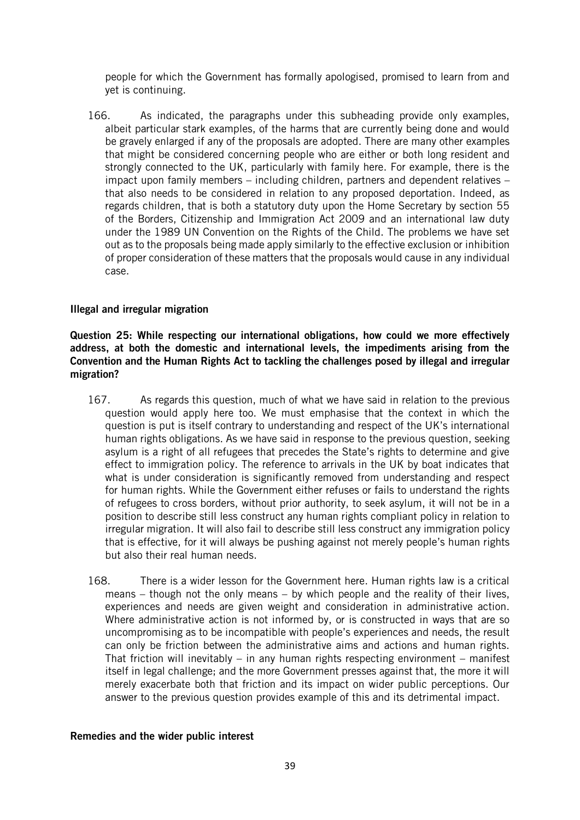people for which the Government has formally apologised, promised to learn from and yet is continuing.

166. As indicated, the paragraphs under this subheading provide only examples, albeit particular stark examples, of the harms that are currently being done and would be gravely enlarged if any of the proposals are adopted. There are many other examples that might be considered concerning people who are either or both long resident and strongly connected to the UK, particularly with family here. For example, there is the impact upon family members – including children, partners and dependent relatives – that also needs to be considered in relation to any proposed deportation. Indeed, as regards children, that is both a statutory duty upon the Home Secretary by section 55 of the Borders, Citizenship and Immigration Act 2009 and an international law duty under the 1989 UN Convention on the Rights of the Child. The problems we have set out as to the proposals being made apply similarly to the effective exclusion or inhibition of proper consideration of these matters that the proposals would cause in any individual case.

#### Illegal and irregular migration

Question 25: While respecting our international obligations, how could we more effectively address, at both the domestic and international levels, the impediments arising from the Convention and the Human Rights Act to tackling the challenges posed by illegal and irregular migration?

- 167. As regards this question, much of what we have said in relation to the previous question would apply here too. We must emphasise that the context in which the question is put is itself contrary to understanding and respect of the UK's international human rights obligations. As we have said in response to the previous question, seeking asylum is a right of all refugees that precedes the State's rights to determine and give effect to immigration policy. The reference to arrivals in the UK by boat indicates that what is under consideration is significantly removed from understanding and respect for human rights. While the Government either refuses or fails to understand the rights of refugees to cross borders, without prior authority, to seek asylum, it will not be in a position to describe still less construct any human rights compliant policy in relation to irregular migration. It will also fail to describe still less construct any immigration policy that is effective, for it will always be pushing against not merely people's human rights but also their real human needs.
- 168. There is a wider lesson for the Government here. Human rights law is a critical means – though not the only means – by which people and the reality of their lives, experiences and needs are given weight and consideration in administrative action. Where administrative action is not informed by, or is constructed in ways that are so uncompromising as to be incompatible with people's experiences and needs, the result can only be friction between the administrative aims and actions and human rights. That friction will inevitably – in any human rights respecting environment – manifest itself in legal challenge; and the more Government presses against that, the more it will merely exacerbate both that friction and its impact on wider public perceptions. Our answer to the previous question provides example of this and its detrimental impact.

#### Remedies and the wider public interest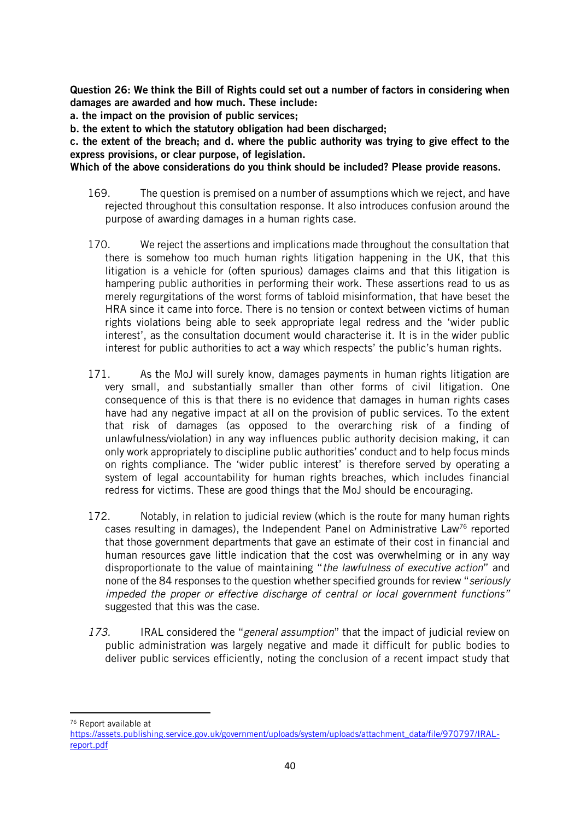Question 26: We think the Bill of Rights could set out a number of factors in considering when damages are awarded and how much. These include:

a. the impact on the provision of public services;

b. the extent to which the statutory obligation had been discharged;

c. the extent of the breach; and d. where the public authority was trying to give effect to the express provisions, or clear purpose, of legislation.

Which of the above considerations do you think should be included? Please provide reasons.

- 169. The question is premised on a number of assumptions which we reject, and have rejected throughout this consultation response. It also introduces confusion around the purpose of awarding damages in a human rights case.
- 170. We reject the assertions and implications made throughout the consultation that there is somehow too much human rights litigation happening in the UK, that this litigation is a vehicle for (often spurious) damages claims and that this litigation is hampering public authorities in performing their work. These assertions read to us as merely regurgitations of the worst forms of tabloid misinformation, that have beset the HRA since it came into force. There is no tension or context between victims of human rights violations being able to seek appropriate legal redress and the 'wider public interest', as the consultation document would characterise it. It is in the wider public interest for public authorities to act a way which respects' the public's human rights.
- 171. As the MoJ will surely know, damages payments in human rights litigation are very small, and substantially smaller than other forms of civil litigation. One consequence of this is that there is no evidence that damages in human rights cases have had any negative impact at all on the provision of public services. To the extent that risk of damages (as opposed to the overarching risk of a finding of unlawfulness/violation) in any way influences public authority decision making, it can only work appropriately to discipline public authorities' conduct and to help focus minds on rights compliance. The 'wider public interest' is therefore served by operating a system of legal accountability for human rights breaches, which includes financial redress for victims. These are good things that the MoJ should be encouraging.
- 172. Notably, in relation to judicial review (which is the route for many human rights cases resulting in damages), the Independent Panel on Administrative Law<sup>76</sup> reported that those government departments that gave an estimate of their cost in financial and human resources gave little indication that the cost was overwhelming or in any way disproportionate to the value of maintaining "*the lawfulness of executive action*" and none of the 84 responses to the question whether specified grounds for review "*seriously impeded the proper or effective discharge of central or local government functions"* suggested that this was the case.
- *173.* IRAL considered the "*general assumption*" that the impact of judicial review on public administration was largely negative and made it difficult for public bodies to deliver public services efficiently, noting the conclusion of a recent impact study that

<sup>76</sup> Report available at

[https://assets.publishing.service.gov.uk/government/uploads/system/uploads/attachment\\_data/file/970797/IRAL](https://assets.publishing.service.gov.uk/government/uploads/system/uploads/attachment_data/file/970797/IRAL-report.pdf)[report.pdf](https://assets.publishing.service.gov.uk/government/uploads/system/uploads/attachment_data/file/970797/IRAL-report.pdf)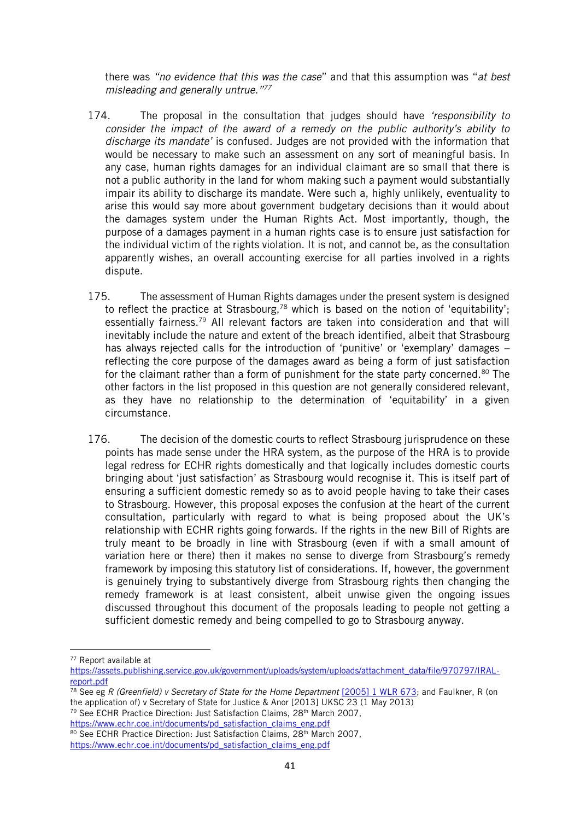there was *"no evidence that this was the case*" and that this assumption was "*at best misleading and generally untrue."<sup>77</sup>*

- 174. The proposal in the consultation that judges should have *'responsibility to consider the impact of the award of a remedy on the public authority's ability to discharge its mandate'* is confused. Judges are not provided with the information that would be necessary to make such an assessment on any sort of meaningful basis. In any case, human rights damages for an individual claimant are so small that there is not a public authority in the land for whom making such a payment would substantially impair its ability to discharge its mandate. Were such a, highly unlikely, eventuality to arise this would say more about government budgetary decisions than it would about the damages system under the Human Rights Act. Most importantly, though, the purpose of a damages payment in a human rights case is to ensure just satisfaction for the individual victim of the rights violation. It is not, and cannot be, as the consultation apparently wishes, an overall accounting exercise for all parties involved in a rights dispute.
- 175. The assessment of Human Rights damages under the present system is designed to reflect the practice at Strasbourg,<sup>78</sup> which is based on the notion of 'equitability'; essentially fairness.<sup>79</sup> All relevant factors are taken into consideration and that will inevitably include the nature and extent of the breach identified, albeit that Strasbourg has always rejected calls for the introduction of 'punitive' or 'exemplary' damages – reflecting the core purpose of the damages award as being a form of just satisfaction for the claimant rather than a form of punishment for the state party concerned.<sup>80</sup> The other factors in the list proposed in this question are not generally considered relevant, as they have no relationship to the determination of 'equitability' in a given circumstance.
- 176. The decision of the domestic courts to reflect Strasbourg jurisprudence on these points has made sense under the HRA system, as the purpose of the HRA is to provide legal redress for ECHR rights domestically and that logically includes domestic courts bringing about 'just satisfaction' as Strasbourg would recognise it. This is itself part of ensuring a sufficient domestic remedy so as to avoid people having to take their cases to Strasbourg. However, this proposal exposes the confusion at the heart of the current consultation, particularly with regard to what is being proposed about the UK's relationship with ECHR rights going forwards. If the rights in the new Bill of Rights are truly meant to be broadly in line with Strasbourg (even if with a small amount of variation here or there) then it makes no sense to diverge from Strasbourg's remedy framework by imposing this statutory list of considerations. If, however, the government is genuinely trying to substantively diverge from Strasbourg rights then changing the remedy framework is at least consistent, albeit unwise given the ongoing issues discussed throughout this document of the proposals leading to people not getting a sufficient domestic remedy and being compelled to go to Strasbourg anyway.

<sup>79</sup> See ECHR Practice Direction: Just Satisfaction Claims, 28<sup>th</sup> March 2007, [https://www.echr.coe.int/documents/pd\\_satisfaction\\_claims\\_eng.pdf](https://www.echr.coe.int/documents/pd_satisfaction_claims_eng.pdf)

<sup>77</sup> Report available at

[https://assets.publishing.service.gov.uk/government/uploads/system/uploads/attachment\\_data/file/970797/IRAL](https://assets.publishing.service.gov.uk/government/uploads/system/uploads/attachment_data/file/970797/IRAL-report.pdf)[report.pdf](https://assets.publishing.service.gov.uk/government/uploads/system/uploads/attachment_data/file/970797/IRAL-report.pdf)

<sup>78</sup> See eg *R (Greenfield) v Secretary of State for the Home Department* [\[2005\] 1 WLR 673;](https://www.bailii.org/cgi-bin/redirect.cgi?path=/uk/cases/UKHL/2005/14.html) and Faulkner, R (on the application of) v Secretary of State for Justice & Anor [2013] UKSC 23 (1 May 2013)

<sup>80</sup> See ECHR Practice Direction: Just Satisfaction Claims, 28<sup>th</sup> March 2007, [https://www.echr.coe.int/documents/pd\\_satisfaction\\_claims\\_eng.pdf](https://www.echr.coe.int/documents/pd_satisfaction_claims_eng.pdf)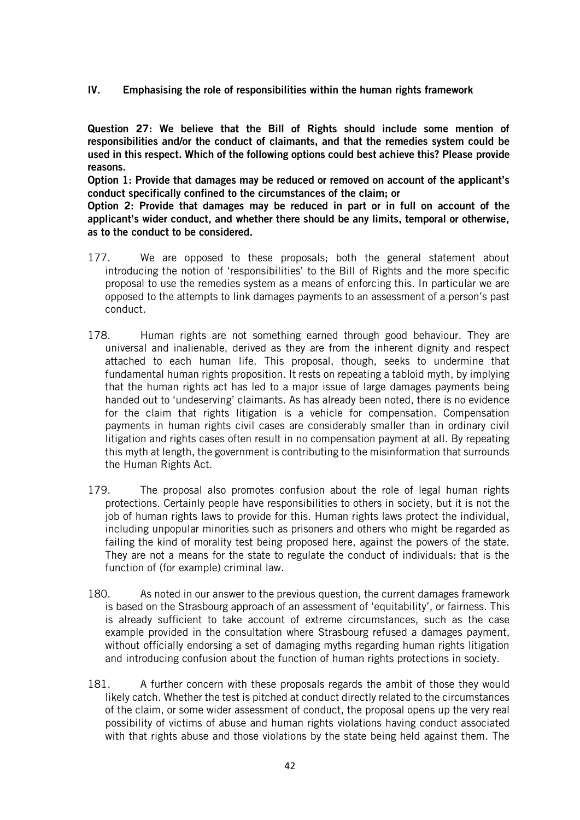IV. Emphasising the role of responsibilities within the human rights framework

Question 27: We believe that the Bill of Rights should include some mention of responsibilities and/or the conduct of claimants, and that the remedies system could be used in this respect. Which of the following options could best achieve this? Please provide reasons.

Option 1: Provide that damages may be reduced or removed on account of the applicant's conduct specifically confined to the circumstances of the claim; or

Option 2: Provide that damages may be reduced in part or in full on account of the applicant's wider conduct, and whether there should be any limits, temporal or otherwise, as to the conduct to be considered.

- 177. We are opposed to these proposals; both the general statement about introducing the notion of 'responsibilities' to the Bill of Rights and the more specific proposal to use the remedies system as a means of enforcing this. In particular we are opposed to the attempts to link damages payments to an assessment of a person's past conduct.
- 178. Human rights are not something earned through good behaviour. They are universal and inalienable, derived as they are from the inherent dignity and respect attached to each human life. This proposal, though, seeks to undermine that fundamental human rights proposition. It rests on repeating a tabloid myth, by implying that the human rights act has led to a major issue of large damages payments being handed out to 'undeserving' claimants. As has already been noted, there is no evidence for the claim that rights litigation is a vehicle for compensation. Compensation payments in human rights civil cases are considerably smaller than in ordinary civil litigation and rights cases often result in no compensation payment at all. By repeating this myth at length, the government is contributing to the misinformation that surrounds the Human Rights Act.
- 179. The proposal also promotes confusion about the role of legal human rights protections. Certainly people have responsibilities to others in society, but it is not the job of human rights laws to provide for this. Human rights laws protect the individual, including unpopular minorities such as prisoners and others who might be regarded as failing the kind of morality test being proposed here, against the powers of the state. They are not a means for the state to regulate the conduct of individuals: that is the function of (for example) criminal law.
- 180. As noted in our answer to the previous question, the current damages framework is based on the Strasbourg approach of an assessment of 'equitability', or fairness. This is already sufficient to take account of extreme circumstances, such as the case example provided in the consultation where Strasbourg refused a damages payment, without officially endorsing a set of damaging myths regarding human rights litigation and introducing confusion about the function of human rights protections in society.
- 181. A further concern with these proposals regards the ambit of those they would likely catch. Whether the test is pitched at conduct directly related to the circumstances of the claim, or some wider assessment of conduct, the proposal opens up the very real possibility of victims of abuse and human rights violations having conduct associated with that rights abuse and those violations by the state being held against them. The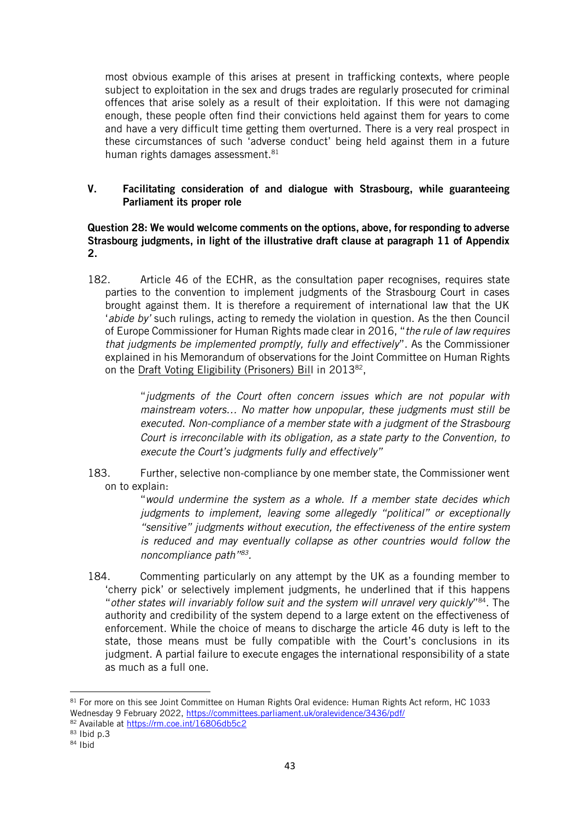most obvious example of this arises at present in trafficking contexts, where people subject to exploitation in the sex and drugs trades are regularly prosecuted for criminal offences that arise solely as a result of their exploitation. If this were not damaging enough, these people often find their convictions held against them for years to come and have a very difficult time getting them overturned. There is a very real prospect in these circumstances of such 'adverse conduct' being held against them in a future human rights damages assessment.<sup>81</sup>

## V. Facilitating consideration of and dialogue with Strasbourg, while guaranteeing Parliament its proper role

## Question 28: We would welcome comments on the options, above, for responding to adverse Strasbourg judgments, in light of the illustrative draft clause at paragraph 11 of Appendix 2.

182. Article 46 of the ECHR, as the consultation paper recognises, requires state parties to the convention to implement judgments of the Strasbourg Court in cases brought against them. It is therefore a requirement of international law that the UK '*abide by'* such rulings, acting to remedy the violation in question. As the then Council of Europe Commissioner for Human Rights made clear in 2016, "*the rule of law requires that judgments be implemented promptly, fully and effectively*". As the Commissioner explained in his Memorandum of observations for the Joint Committee on Human Rights on the Draft Voting Eligibility (Prisoners) Bill in 2013<sup>82</sup>,

> "*judgments of the Court often concern issues which are not popular with mainstream voters… No matter how unpopular, these judgments must still be executed. Non-compliance of a member state with a judgment of the Strasbourg Court is irreconcilable with its obligation, as a state party to the Convention, to execute the Court's judgments fully and effectively"*

183. Further, selective non-compliance by one member state, the Commissioner went on to explain:

"*would undermine the system as a whole. If a member state decides which judgments to implement, leaving some allegedly "political" or exceptionally "sensitive" judgments without execution, the effectiveness of the entire system is reduced and may eventually collapse as other countries would follow the noncompliance path" 83 .*

184. Commenting particularly on any attempt by the UK as a founding member to 'cherry pick' or selectively implement judgments, he underlined that if this happens "*other states will invariably follow suit and the system will unravel very quickly*" <sup>84</sup>. The authority and credibility of the system depend to a large extent on the effectiveness of enforcement. While the choice of means to discharge the article 46 duty is left to the state, those means must be fully compatible with the Court's conclusions in its judgment. A partial failure to execute engages the international responsibility of a state as much as a full one.

82 Available at <https://rm.coe.int/16806db5c2>

<sup>81</sup> For more on this see Joint Committee on Human Rights Oral evidence: Human Rights Act reform, HC 1033 Wednesday 9 February 2022,<https://committees.parliament.uk/oralevidence/3436/pdf/>

<sup>83</sup> Ibid p.3

 $84$  Ibid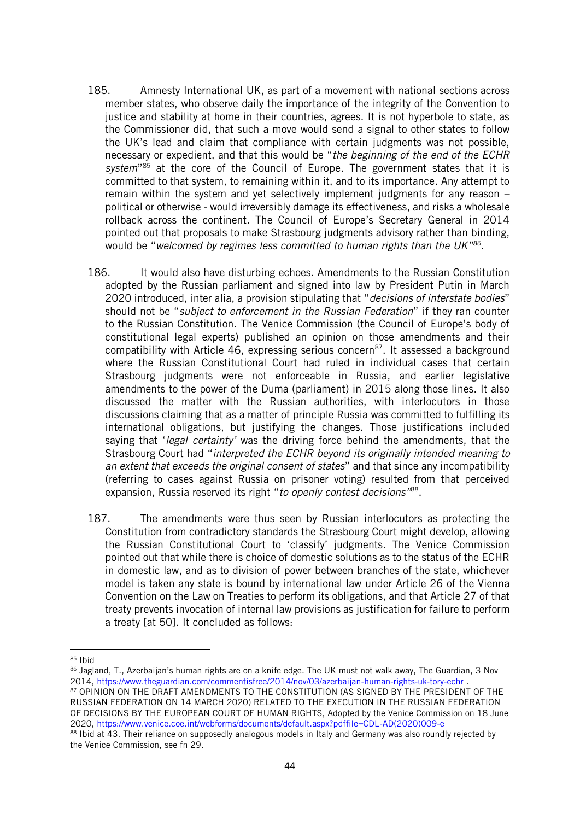- 185. Amnesty International UK, as part of a movement with national sections across member states, who observe daily the importance of the integrity of the Convention to justice and stability at home in their countries, agrees. It is not hyperbole to state, as the Commissioner did, that such a move would send a signal to other states to follow the UK's lead and claim that compliance with certain judgments was not possible, necessary or expedient, and that this would be "*the beginning of the end of the ECHR*  system<sup>"85</sup> at the core of the Council of Europe. The government states that it is committed to that system, to remaining within it, and to its importance. Any attempt to remain within the system and yet selectively implement judgments for any reason – political or otherwise - would irreversibly damage its effectiveness, and risks a wholesale rollback across the continent. The Council of Europe's Secretary General in 2014 pointed out that proposals to make Strasbourg judgments advisory rather than binding, would be "*welcomed by regimes less committed to human rights than the UK"<sup>86</sup> .*
- 186. It would also have disturbing echoes. Amendments to the Russian Constitution adopted by the Russian parliament and signed into law by President Putin in March 2020 introduced, inter alia, a provision stipulating that "*decisions of interstate bodies*" should not be "*subject to enforcement in the Russian Federation*" if they ran counter to the Russian Constitution. The Venice Commission (the Council of Europe's body of constitutional legal experts) published an opinion on those amendments and their compatibility with Article 46, expressing serious concern<sup>87</sup>. It assessed a background where the Russian Constitutional Court had ruled in individual cases that certain Strasbourg judgments were not enforceable in Russia, and earlier legislative amendments to the power of the Duma (parliament) in 2015 along those lines. It also discussed the matter with the Russian authorities, with interlocutors in those discussions claiming that as a matter of principle Russia was committed to fulfilling its international obligations, but justifying the changes. Those justifications included saying that '*legal certainty'* was the driving force behind the amendments, that the Strasbourg Court had "*interpreted the ECHR beyond its originally intended meaning to an extent that exceeds the original consent of states*" and that since any incompatibility (referring to cases against Russia on prisoner voting) resulted from that perceived expansion, Russia reserved its right "*to openly contest decisions"*<sup>88</sup> .
- 187. The amendments were thus seen by Russian interlocutors as protecting the Constitution from contradictory standards the Strasbourg Court might develop, allowing the Russian Constitutional Court to 'classify' judgments. The Venice Commission pointed out that while there is choice of domestic solutions as to the status of the ECHR in domestic law, and as to division of power between branches of the state, whichever model is taken any state is bound by international law under Article 26 of the Vienna Convention on the Law on Treaties to perform its obligations, and that Article 27 of that treaty prevents invocation of internal law provisions as justification for failure to perform a treaty [at 50]. It concluded as follows:

 $85$  Ibid

<sup>86</sup> Jagland, T., Azerbaijan's human rights are on a knife edge. The UK must not walk away, The Guardian, 3 Nov 2014,<https://www.theguardian.com/commentisfree/2014/nov/03/azerbaijan-human-rights-uk-tory-echr> .

<sup>87</sup> OPINION ON THE DRAFT AMENDMENTS TO THE CONSTITUTION (AS SIGNED BY THE PRESIDENT OF THE RUSSIAN FEDERATION ON 14 MARCH 2020) RELATED TO THE EXECUTION IN THE RUSSIAN FEDERATION OF DECISIONS BY THE EUROPEAN COURT OF HUMAN RIGHTS, Adopted by the Venice Commission on 18 June 2020, [https://www.venice.coe.int/webforms/documents/default.aspx?pdffile=CDL-AD\(2020\)009-e](https://www.venice.coe.int/webforms/documents/default.aspx?pdffile=CDL-AD(2020)009-e)

<sup>88</sup> Ibid at 43. Their reliance on supposedly analogous models in Italy and Germany was also roundly rejected by the Venice Commission, see fn 29.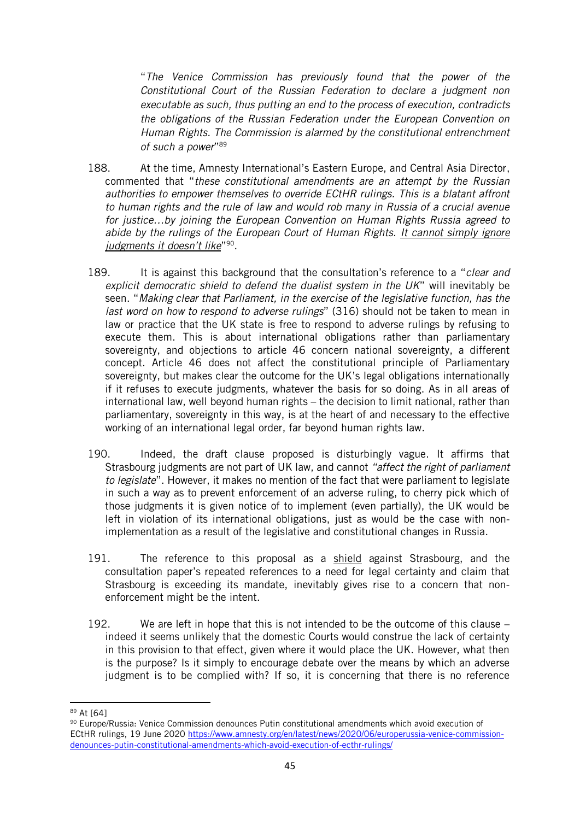"*The Venice Commission has previously found that the power of the Constitutional Court of the Russian Federation to declare a judgment non executable as such, thus putting an end to the process of execution, contradicts the obligations of the Russian Federation under the European Convention on Human Rights. The Commission is alarmed by the constitutional entrenchment of such a power*" 89

- 188. At the time, Amnesty International's Eastern Europe, and Central Asia Director, commented that "*these constitutional amendments are an attempt by the Russian authorities to empower themselves to override ECtHR rulings. This is a blatant affront to human rights and the rule of law and would rob many in Russia of a crucial avenue for justice…by joining the European Convention on Human Rights Russia agreed to abide by the rulings of the European Court of Human Rights. It cannot simply ignore judgments it doesn't like*" 90 .
- 189. It is against this background that the consultation's reference to a "*clear and explicit democratic shield to defend the dualist system in the UK*" will inevitably be seen. "*Making clear that Parliament, in the exercise of the legislative function, has the last word on how to respond to adverse rulings*" (316) should not be taken to mean in law or practice that the UK state is free to respond to adverse rulings by refusing to execute them. This is about international obligations rather than parliamentary sovereignty, and objections to article 46 concern national sovereignty, a different concept. Article 46 does not affect the constitutional principle of Parliamentary sovereignty, but makes clear the outcome for the UK's legal obligations internationally if it refuses to execute judgments, whatever the basis for so doing. As in all areas of international law, well beyond human rights – the decision to limit national, rather than parliamentary, sovereignty in this way, is at the heart of and necessary to the effective working of an international legal order, far beyond human rights law.
- 190. Indeed, the draft clause proposed is disturbingly vague. It affirms that Strasbourg judgments are not part of UK law, and cannot *"affect the right of parliament to legislate*". However, it makes no mention of the fact that were parliament to legislate in such a way as to prevent enforcement of an adverse ruling, to cherry pick which of those judgments it is given notice of to implement (even partially), the UK would be left in violation of its international obligations, just as would be the case with nonimplementation as a result of the legislative and constitutional changes in Russia.
- 191. The reference to this proposal as a shield against Strasbourg, and the consultation paper's repeated references to a need for legal certainty and claim that Strasbourg is exceeding its mandate, inevitably gives rise to a concern that nonenforcement might be the intent.
- 192. We are left in hope that this is not intended to be the outcome of this clause indeed it seems unlikely that the domestic Courts would construe the lack of certainty in this provision to that effect, given where it would place the UK. However, what then is the purpose? Is it simply to encourage debate over the means by which an adverse judgment is to be complied with? If so, it is concerning that there is no reference

<sup>89</sup> At [64]

<sup>90</sup> Europe/Russia: Venice Commission denounces Putin constitutional amendments which avoid execution of ECtHR rulings, 19 June 2020 [https://www.amnesty.org/en/latest/news/2020/06/europerussia-venice-commission](https://www.amnesty.org/en/latest/news/2020/06/europerussia-venice-commission-denounces-putin-constitutional-amendments-which-avoid-execution-of-ecthr-rulings/)[denounces-putin-constitutional-amendments-which-avoid-execution-of-ecthr-rulings/](https://www.amnesty.org/en/latest/news/2020/06/europerussia-venice-commission-denounces-putin-constitutional-amendments-which-avoid-execution-of-ecthr-rulings/)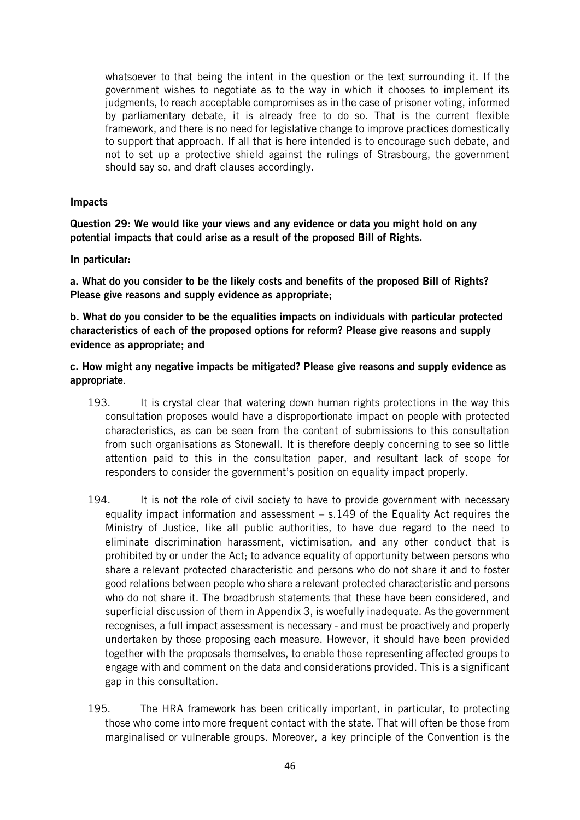whatsoever to that being the intent in the question or the text surrounding it. If the government wishes to negotiate as to the way in which it chooses to implement its judgments, to reach acceptable compromises as in the case of prisoner voting, informed by parliamentary debate, it is already free to do so. That is the current flexible framework, and there is no need for legislative change to improve practices domestically to support that approach. If all that is here intended is to encourage such debate, and not to set up a protective shield against the rulings of Strasbourg, the government should say so, and draft clauses accordingly.

#### Impacts

Question 29: We would like your views and any evidence or data you might hold on any potential impacts that could arise as a result of the proposed Bill of Rights.

In particular:

a. What do you consider to be the likely costs and benefits of the proposed Bill of Rights? Please give reasons and supply evidence as appropriate:

b. What do you consider to be the equalities impacts on individuals with particular protected characteristics of each of the proposed options for reform? Please give reasons and supply evidence as appropriate; and

c. How might any negative impacts be mitigated? Please give reasons and supply evidence as appropriate.

- 193. It is crystal clear that watering down human rights protections in the way this consultation proposes would have a disproportionate impact on people with protected characteristics, as can be seen from the content of submissions to this consultation from such organisations as Stonewall. It is therefore deeply concerning to see so little attention paid to this in the consultation paper, and resultant lack of scope for responders to consider the government's position on equality impact properly.
- 194. It is not the role of civil society to have to provide government with necessary equality impact information and assessment – s.149 of the Equality Act requires the Ministry of Justice, like all public authorities, to have due regard to the need to eliminate discrimination harassment, victimisation, and any other conduct that is prohibited by or under the Act; to advance equality of opportunity between persons who share a relevant protected characteristic and persons who do not share it and to foster good relations between people who share a relevant protected characteristic and persons who do not share it. The broadbrush statements that these have been considered, and superficial discussion of them in Appendix 3, is woefully inadequate. As the government recognises, a full impact assessment is necessary - and must be proactively and properly undertaken by those proposing each measure. However, it should have been provided together with the proposals themselves, to enable those representing affected groups to engage with and comment on the data and considerations provided. This is a significant gap in this consultation.
- 195. The HRA framework has been critically important, in particular, to protecting those who come into more frequent contact with the state. That will often be those from marginalised or vulnerable groups. Moreover, a key principle of the Convention is the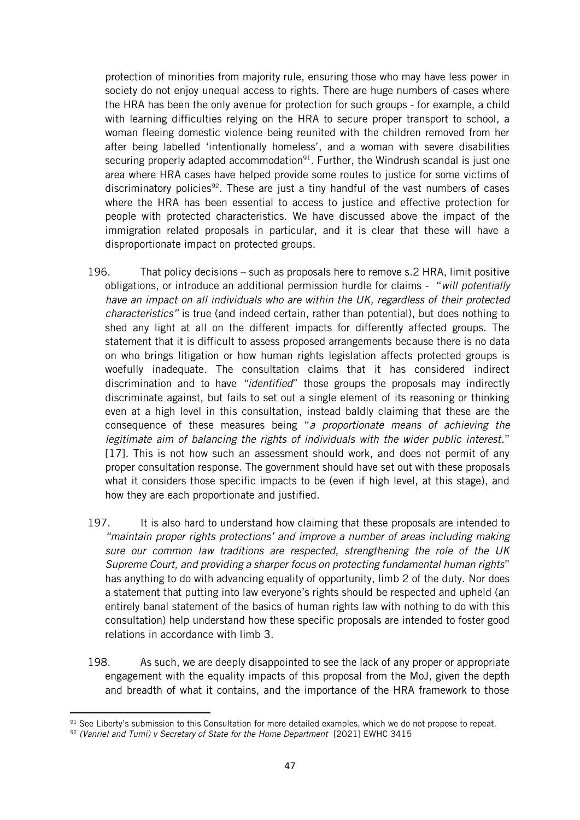protection of minorities from majority rule, ensuring those who may have less power in society do not enjoy unequal access to rights. There are huge numbers of cases where the HRA has been the only avenue for protection for such groups - for example, a child with learning difficulties relying on the HRA to secure proper transport to school, a woman fleeing domestic violence being reunited with the children removed from her after being labelled 'intentionally homeless', and a woman with severe disabilities securing properly adapted accommodation<sup>91</sup>. Further, the Windrush scandal is just one area where HRA cases have helped provide some routes to justice for some victims of discriminatory policies<sup>92</sup>. These are just a tiny handful of the vast numbers of cases where the HRA has been essential to access to justice and effective protection for people with protected characteristics. We have discussed above the impact of the immigration related proposals in particular, and it is clear that these will have a disproportionate impact on protected groups.

- 196. That policy decisions such as proposals here to remove s.2 HRA, limit positive obligations, or introduce an additional permission hurdle for claims - "*will potentially have an impact on all individuals who are within the UK, regardless of their protected characteristics"* is true (and indeed certain, rather than potential), but does nothing to shed any light at all on the different impacts for differently affected groups. The statement that it is difficult to assess proposed arrangements because there is no data on who brings litigation or how human rights legislation affects protected groups is woefully inadequate. The consultation claims that it has considered indirect discrimination and to have *"identified*" those groups the proposals may indirectly discriminate against, but fails to set out a single element of its reasoning or thinking even at a high level in this consultation, instead baldly claiming that these are the consequence of these measures being "*a proportionate means of achieving the legitimate aim of balancing the rights of individuals with the wider public interest*." [17]. This is not how such an assessment should work, and does not permit of any proper consultation response. The government should have set out with these proposals what it considers those specific impacts to be (even if high level, at this stage), and how they are each proportionate and justified.
- 197. It is also hard to understand how claiming that these proposals are intended to *"maintain proper rights protections' and improve a number of areas including making sure our common law traditions are respected, strengthening the role of the UK Supreme Court, and providing a sharper focus on protecting fundamental human rights*" has anything to do with advancing equality of opportunity, limb 2 of the duty. Nor does a statement that putting into law everyone's rights should be respected and upheld (an entirely banal statement of the basics of human rights law with nothing to do with this consultation) help understand how these specific proposals are intended to foster good relations in accordance with limb 3.
- 198. As such, we are deeply disappointed to see the lack of any proper or appropriate engagement with the equality impacts of this proposal from the MoJ, given the depth and breadth of what it contains, and the importance of the HRA framework to those

<sup>&</sup>lt;sup>91</sup> See Liberty's submission to this Consultation for more detailed examples, which we do not propose to repeat.

<sup>92</sup> *(Vanriel and Tumi) v Secretary of State for the Home Department* [2021] EWHC 3415